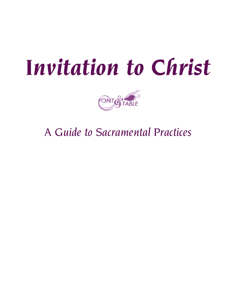# *Invitation to Christ*



*A Guide to Sacramental Practices*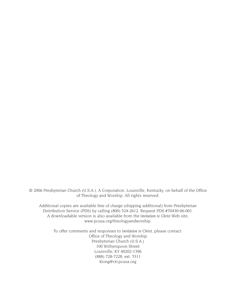© 2006 Presbyterian Church (U.S.A.), A Corporation, Louisville, Kentucky, on behalf of the Office of Theology and Worship. All rights reserved.

Additional copies are available free of charge (shipping additional) from Presbyterian Distribution Service (PDS) by calling (800) 524-2612. Request PDS #70430-06-001. A downloadable version is also available from the *Invitation to Christ* Web site, www.pcusa.org/theologyandworship.

To offer comments and responses to *Invitation to Christ*, please contact: Office of Theology and Worship Presbyterian Church (U.S.A.) 100 Witherspoon Street Louisville, KY 40202-1396 (888) 728-7228, ext. 5311 klong@ctr.pcusa.org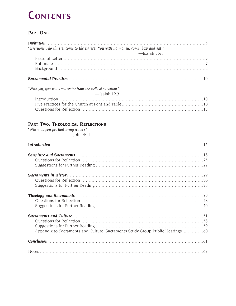## **Contents**

### **PART ONE**

| "Everyone who thirsts, come to the waters! You with no money, come, buy and eat!"                              |  |
|----------------------------------------------------------------------------------------------------------------|--|
| $-$ Isaiah 55:1                                                                                                |  |
|                                                                                                                |  |
|                                                                                                                |  |
|                                                                                                                |  |
|                                                                                                                |  |
| Sacramental Practices (1000) (100) (100) (100) (100) (100) (100) (100) (100) (100) (100) (100) (100) (100) (10 |  |
| "With joy, you will draw water from the wells of salvation."                                                   |  |
| $-$ Isaiah 12:3                                                                                                |  |
|                                                                                                                |  |
|                                                                                                                |  |
|                                                                                                                |  |

### **PART TWO: THEOLOGICAL REFLECTIONS**

*"Where do you get that living water?"*  $-John 4:11$ 

| Introduction 15                                                                                                       |  |
|-----------------------------------------------------------------------------------------------------------------------|--|
|                                                                                                                       |  |
|                                                                                                                       |  |
|                                                                                                                       |  |
|                                                                                                                       |  |
|                                                                                                                       |  |
| <b>Theology and Sacraments</b> manual manual manual manual manual manual manual manual manual manual manual manual ma |  |
|                                                                                                                       |  |
|                                                                                                                       |  |
| Sacraments and Culture material contracts and Culture material contracts and Culture material contracts and Culture   |  |
|                                                                                                                       |  |
|                                                                                                                       |  |
| Appendix to Sacraments and Culture: Sacraments Study Group Public Hearings 60                                         |  |
|                                                                                                                       |  |
|                                                                                                                       |  |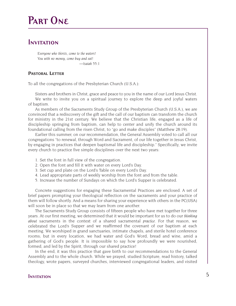# **Part One**

### **Invitation**

*Everyone who thirsts, come to the waters! You with no money, come buy and eat! —Isaiah 55:1*

### **PASTORAL LETTER**

To all the congregations of the Presbyterian Church (U.S.A.):

Sisters and brothers in Christ, grace and peace to you in the name of our Lord Jesus Christ. We write to invite you on a spiritual journey to explore the deep and joyful waters of baptism.

As members of the Sacraments Study Group of the Presbyterian Church (U.S.A.), we are convinced that a rediscovery of the gift and the call of our baptism can transform the church for ministry in the 21st century. We believe that the Christian life, engaged as a life of discipleship springing from baptism, can help to center and unify the church around its foundational calling from the risen Christ, to "go and make disciples" (Matthew 28:19).

Earlier this summer, on our recommendation, the General Assembly voted to call all our congregations "to renewal, through Word and Sacrament, of our life together in Jesus Christ, by engaging in practices that deepen baptismal life and discipleship." Specifically, we invite every church to practice five simple disciplines over the next two years:

- 1. Set the font in full view of the congregation.
- 2. Open the font and fill it with water on every Lord's Day.
- 3. Set cup and plate on the Lord's Table on every Lord's Day.
- 4. Lead appropriate parts of weekly worship from the font and from the table.
- 5. Increase the number of Sundays on which the Lord's Supper is celebrated.

Concrete suggestions for engaging these Sacramental Practices are enclosed. A set of brief papers prompting your theological reflection on the sacraments and your practice of them will follow shortly. And a means for sharing your experience with others in the PC(USA) will soon be in place so that we may learn from one another.

The Sacraments Study Group consists of fifteen people who have met together for three years. At our first meeting, we determined that it would be important for us to do our *thinking about* sacraments in the context of a shared sacramental *practice*. For that reason, we celebrated the Lord's Supper and we reaffirmed the covenant of our baptism at each meeting. We worshiped in grand sanctuaries, intimate chapels, and sterile hotel conference rooms; but in every location, we had water and God's Word, bread and wine, amid a gathering of God's people. It is impossible to say how profoundly we were nourished, formed, and led by the Spirit, through our shared practice!

In the end, it was this practice that gave birth to our recommendations to the General Assembly and to the whole church. While we prayed, studied Scripture, read history, talked theology, wrote papers, surveyed churches, interviewed congregational leaders, and visited

### **Invitation** 5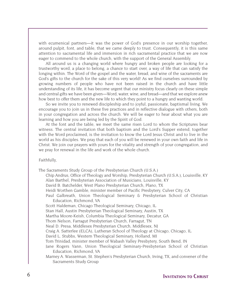with ecumenical partners—it was the power of God's presence in our worship together, around pulpit, font, and table, that we came deeply to trust. Consequently, it is this same attention to sacramental life and immersion in rich sacramental practice that we are now eager to commend to the whole church, with the support of the General Assembly.

All around us is a changing world where hungry and broken people are looking for a trustworthy word, a place to belong, a chance to start over, a way of life that can satisfy the longing within. The Word of the gospel and the water, bread, and wine of the sacraments are God's gifts to the church for the sake of this very world! As we find ourselves surrounded by growing numbers of people who have not been raised in the church and have little understanding of its life, it has become urgent that our ministry focus clearly on these simple and central gifts we have been given—Word, water, wine, and bread—and that we explore anew how best to offer them and the new life to which they point to a hungry and wanting world.

So we invite you to renewed discipleship and to joyful, passionate, baptismal living. We encourage you to join us in these five practices and in reflective dialogue with others, both in your congregation and across the church. We will be eager to hear about what you are learning and how you are being led by the Spirit of God.

At the font and the table, we meet the same risen Lord to whom the Scriptures bear witness. The central invitation that both baptism and the Lord's Supper extend, together with the Word proclaimed, is the invitation to know the Lord Jesus Christ and to live in the world as his disciples. We pray that each of you will be renewed in your own faith and life in Christ. We join our prayers with yours for the vitality and strength of your congregation, and we pray for renewal in the life and work of the whole church.

#### Faithfully,

The Sacraments Study Group of the Presbyterian Church (U.S.A.)

Chip Andrus, Office of Theology and Worship, Presbyterian Church (U.S.A.), Louisville, KY Alan Barthel, Presbyterian Association of Musicians, Louisville, KY David B. Batchelder, West Plano Presbyterian Church, Plano, TX Heidi Worthen Gamble, minister member of Pacific Presbytery, Culver City, CA Paul Galbreath, Union Theological Seminary & Presbyterian School of Christian Education, Richmond, VA Scott Haldeman, Chicago Theological Seminary, Chicago, IL Stan Hall, Austin Presbyterian Theological Seminary, Austin, TX Martha Moore-Keish, Columbia Theological Seminary, Decatur, GA Thom Nelson, Farragut Presbyterian Church, Farragut, TN Neal D. Presa, Middlesex Presbyterian Church, Middlesex, NJ Craig A. Satterlee (ELCA), Lutheran School of Theology at Chicago, Chicago, IL

David L. Stubbs, Western Theological Seminary, Holland, MI

Tom Trinidad, minister member of Wabash Valley Presbytery, South Bend, IN

Jane Rogers Vann, Union Theological Seminary-Presbyterian School of Christian Education, Richmond, VA

Marney A. Wasserman, St. Stephen's Presbyterian Church, Irving, TX, and convener of the Sacraments Study Group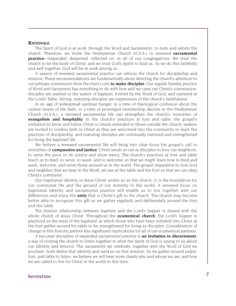#### **RATIONALE**

The Spirit of God is at work, through the Word and Sacraments, to form and reform the church. Therefore, we invite the Presbyterian Church (U.S.A.) to renewed **sacramental practice**—expanded, deepened, reflected on, in all of our congregations. We trust the church to be the body of Christ, and we trust God's Spirit to lead us. As we do this faithfully and well together, God will be at work among us.

A season of renewed sacramental practice can refocus the church for discipleship and mission. These recommendations are fundamentally about directing the church's attention to our primary commission from the risen Lord: **to make disciples**. Our regular Sunday practice of Word and Sacrament has everything to do with how well we carry out Christ's commission: disciples are washed in the waters of baptism, formed by the Word of God, and nurtured at the Lord's Table. Strong, maturing disciples are expressions of the church's faithfulness.

In an age of widespread spiritual hunger, in a time of theological confusion about the central tenets of the faith, in a time of prolonged membership decline in the Presbyterian Church (U.S.A.), a renewed sacramental life can strengthen the church's ministries of **evangelism and hospitality**. In the church's practices at font and table, the gospel's invitation to know and follow Christ is clearly extended to those outside the church; seekers are invited to confess faith in Christ as they are welcomed into the community to learn the practices of discipleship, and maturing disciples are continually nurtured and strengthened for living the baptized life.

We believe a renewed sacramental life will bring into clear focus the gospel's call to ministries of **compassion and justice**. Christ sends us out as disciples to love our neighbors, to serve the poor, to do justice and show mercy. The church's practices at font and table teach us to feed, to serve, to wash, and to welcome so that we might learn how to feed and wash, welcome, and serve those around us in the world. The gospel imperative to love God and neighbor that we hear in the Word, we see at the table and the font so that we can obey Christ's command.

Our baptismal identity in Jesus Christ unites us as the church; it is the foundation for our communal life and the ground of our ministry in the world. A renewed focus on baptismal identity and sacramental practice will enable us to live together with our differences and enjoy the **unity** that is Christ's gift to his church. The church may become better able to recognize this gift as we gather regularly and deliberately around the font and the table.

The historic relationship between baptism and the Lord's Supper is shared with the whole church of Jesus Christ. Throughout the **ecumenical church**, the Lord's Supper is practiced as the meal of the baptized, at which those who have been initiated into Christ at the font gather around his table to be strengthened for living as disciples. Consideration of change in this historic pattern has significant implications for all of our ecumenical partners.

A two-year discipline of expanded sacramental practice is **an invitation to discernment**, a way of inviting the church to listen together to what the Spirit of God is saying to us about our identity and mission. The sacraments we celebrate, together with the Word of God we proclaim, both define that identity and send us on that mission. As we gather around pulpit, font, and table to listen, we believe we will hear more clearly who and whose we are, and how we are called to live for Christ in the world in this time.

### **INVITATION** 7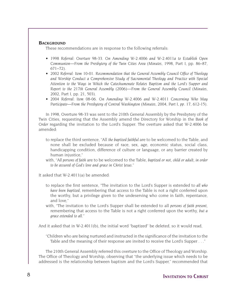#### **BACKGROUND**

These recommendations are in response to the following referrals:

- *1998 Referral: Overture 98-33. On Amending W-2.4006 and W-2.4011a to Establish Open Communion—From the Presbytery of the Twin Cities Area* (*Minutes*, 1998, Part I, pp. 86–87, 671–72).
- *2002 Referral: Item 10-01. Recommendation that the General Assembly Council Office of Theology and Worship Conduct a Comprehensive Study of Sacramental Theology and Practice with Special Attention to the Ways in Which the Catechumenate Relates Baptism and the Lord's Supper and Report to the 217th General Assembly (2006)—From the General Assembly Council* (*Minutes*, 2002, Part I, pp. 21, 503).
- *2004 Referral: Item 08-06. On Amending W-2.4006 and W-2.4011 Concerning Who May Participate—From the Presbytery of Central Washington (Minutes, 2004, Part I, pp. 17, 612-15).*

In 1998, Overture 98-33 was sent to the 210th General Assembly by the Presbytery of the Twin Cities, requesting that the Assembly amend the Directory for Worship in the *Book of Order* regarding the invitation to the Lord's Supper. The overture asked that W-2.4006 be amended:

- to replace the third sentence, "All *the baptized faithful* are to be welcomed to the Table, and none shall be excluded because of race, sex, age, economic status, social class, handicapping condition, difference of culture or language, or any barrier created by human injustice,"
- with, "*All persons of faith* are to be welcomed to the Table, *baptized or not, child or adult, in order to be assured of God's love and grace in Christ Jesus.*"

It asked that W-2.4011(a) be amended:

- to replace the first sentence, "The invitation to the Lord's Supper is extended to *all who have been baptized*, remembering that access to the Table is not a right conferred upon the worthy, but a privilege given to the undeserving who come in faith, repentance, and love,"
- with, "The invitation to the Lord's Supper shall be extended to all *persons of faith present*, remembering that access to the Table is not a right conferred upon the worthy, *but a grace extended to all*."

And it asked that in W-2.4011(b), the initial word "baptized" be deleted, so it would read,

"Children who are being nurtured and instructed in the significance of the invitation to the Table and the meaning of their response are invited to receive the Lord's Supper . . ."

The 210th General Assembly referred this overture to the Office of Theology and Worship. The Office of Theology and Worship, observing that "the underlying issue which needs to be addressed is the relationship between baptism and the Lord's Supper," recommended that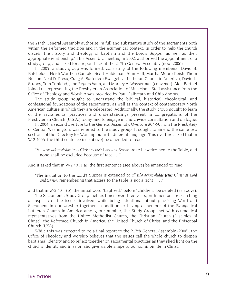the 214th General Assembly authorize, "a full and substantive study of the sacraments both within the Reformed tradition and in the ecumenical context, in order to help the church discern the history and theology of baptism and the Lord's Supper, as well as their appropriate relationship." This Assembly, meeting in 2002, authorized the appointment of a study group, and asked for a report back at the 217th General Assembly (now, 2006).

In 2003, a study group was formed, consisting of the following members: David B. Batchelder, Heidi Worthen Gamble, Scott Haldeman, Stan Hall, Martha Moore-Keish, Thom Nelson, Neal D. Presa, Craig A. Satterlee (Evangelical Lutheran Church in America), David L. Stubbs, Tom Trinidad, Jane Rogers Vann, and Marney A. Wasserman (convener). Alan Barthel joined us, representing the Presbyterian Association of Musicians. Staff assistance from the Office of Theology and Worship was provided by Paul Galbreath and Chip Andrus.

The study group sought to understand the biblical, historical, theological, and confessional foundations of the sacraments, as well as the context of contemporary North American culture in which they are celebrated. Additionally, the study group sought to learn of the sacramental practices and understandings present in congregations of the Presbyterian Church (U.S.A.) today, and to engage in churchwide consultation and dialogue.

In 2004, a second overture to the General Assembly, Overture #04-50 from the Presbytery of Central Washington, was referred to the study group. It sought to amend the same two sections of the Directory for Worship but with different language. This overture asked that in W-2.4006, the third sentence (see above) be amended to read:

"All who *acknowledge Jesus Christ as their Lord and Savior* are to be welcomed to the Table, and none shall be excluded because of race . . ."

And it asked that in W-2.4011(a), the first sentence (see above) be amended to read:

"The invitation to the Lord's Supper is extended to *all who acknowledge Jesus Christ as Lord and Savior*, remembering that access to the table is not a right . . . ;"

and that in W-2.4011(b), the initial word "baptized," before "children," be deleted (as above).

The Sacraments Study Group met six times over three years, with members researching all aspects of the issues involved, while being intentional about practicing Word and Sacrament in our worship together. In addition to having a member of the Evangelical Lutheran Church in America among our number, the Study Group met with ecumenical representatives from the United Methodist Church, the Christian Church (Disciples of Christ), the Reformed Church in America, the United Church of Christ, and the Episcopal Church (USA).

While this was expected to be a final report to the 217th General Assembly (2006), the Office of Theology and Worship believes that the issues call the whole church to deepen baptismal identity and to reflect together on sacramental practices as they shed light on the church's identity and mission and give visible shape to our common life in Christ.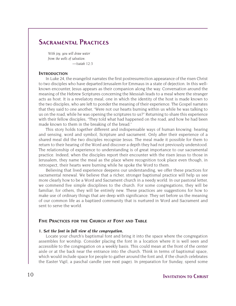### **Sacramental Practices**

*With joy, you will draw water from the wells of salvation. —Isaiah 12:3*

#### **INTRODUCTION**

In Luke 24, the evangelist narrates the first postresurrection appearance of the risen Christ to two disciples who have departed Jerusalem for Emmaus in a state of dejection. In this wellknown encounter, Jesus appears as their companion along the way. Conversation around the meaning of the Hebrew Scriptures concerning the Messiah leads to a meal where the stranger acts as host. It is a revelatory meal, one in which the identity of the host is made known to the two disciples, who are left to ponder the meaning of their experience. The Gospel narrates that they said to one another, "Were not our hearts burning within us while he was talking to us on the road, while he was opening the scriptures to us?" Returning to share this experience with their fellow disciples, "They told what had happened on the road, and how he had been made known to them in the breaking of the bread."

This story holds together different and indispensable ways of human knowing: hearing and sensing, word and symbol, Scripture and sacrament. Only after their experience of a shared meal did the two disciples recognize Jesus. The meal made it possible for them to return to their hearing of the Word and discover a depth they had not previously understood. The relationship of experience to understanding is of great importance to our sacramental practice. Indeed, when the disciples report their encounter with the risen Jesus to those in Jerusalem, they name the meal as the place where recognition took place even though, in retrospect, their hearts were burning while he spoke the Word to them.

Believing that lived experience deepens our understanding, we offer these practices for sacramental renewal. We believe that a richer, stronger baptismal practice will help us see more clearly how to be a Word and Sacrament church in a needy world. In our pastoral letter, we commend five simple disciplines to the church. For some congregations, they will be familiar; for others, they will be entirely new. These practices are suggestions for how to make use of ordinary things that are deep with significance. They set before us the meaning of our common life as a baptized community that is nurtured in Word and Sacrament and sent to serve the world.

#### **FIVE PRACTICES FOR THE CHURCH AT FONT AND TABLE**

#### *1. Set the font in full view of the congregation.*

Locate your church's baptismal font and bring it into the space where the congregation assembles for worship. Consider placing the font in a location where it is well seen and accessible to the congregation on a weekly basis. This could mean at the front of the center aisle or at the back near the entrance into the church. Think in terms of baptismal space, which would include space for people to gather around the font and, if the church celebrates the Easter Vigil, a paschal candle (see next page). In preparation for Sunday, spend some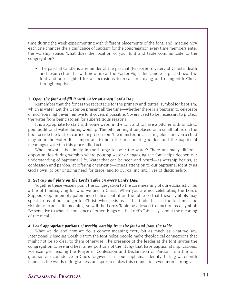time during the week experimenting with different placements of the font, and imagine how each one changes the significance of baptism for the congregation every time members enter the worship space. What does the location of your font and table communicate to the congregation?

• The paschal candle is a reminder of the paschal (Passover) mystery of Christ's death and resurrection. Lit with new fire at the Easter Vigil, this candle is placed near the font and kept lighted for all occasions to recall our dying and rising with Christ through baptism.

#### *2. Open the font and fill it with water on every Lord's Day.*

Remember that the font is the receptacle for the primary and central symbol for baptism, which is water. Let the water be present all the time—whether there is a baptism to celebrate or not. You might even remove font covers if possible. Covers used to be necessary to protect the water from being stolen for superstitious reasons.

It is appropriate to start with some water in the font and to have a pitcher with which to pour additional water during worship. The pitcher might be placed on a small table, on the floor beside the font, or carried in procession. The minister, an assisting elder, or even a child may pour the water. It is important to help the one pouring understand the baptismal meanings evoked in this grace-filled act.

When might it be timely in the liturgy to pour the water? There are many different opportunities during worship where pouring water or engaging the font helps deepen our understanding of baptismal life. Water that can be seen and heard—as worship begins, at confession and pardon, at offering or sending—brings attention to our baptismal identity as God's own, to our ongoing need for grace, and to our calling into lives of discipleship.

#### *3. Set cup and plate on the Lord's Table on every Lord's Day.*

Together these vessels point the congregation to the core meaning of our eucharistic life, a life of thanksgiving for who we are in Christ. When you are not celebrating the Lord's Supper, keep an empty paten and chalice central on the table so that these symbols may speak to us of our hunger for Christ, who feeds us at this table. Just as the font must be visible to express its meaning, so will the Lord's Table be allowed to function as a symbol. Be sensitive to what the presence of other things on the Lord's Table says about the meaning of the meal.

#### *4. Lead appropriate portions of weekly worship from the font and from the table.*

What we do and how we do it convey meaning every bit as much as what we say. Intentionally leading worship from the font helps people make theological connections that might not be so clear to them otherwise. The presence of the leader at the font invites the congregation to see and hear anew portions of the liturgy that have baptismal implications. For example, leading the Prayer of Confession and Declaration of Pardon from the font grounds our confidence in God's forgiveness in our baptismal identity. Lifting water with hands as the words of forgiveness are spoken makes this connection even more strongly.

### **Sacramental Practices** 11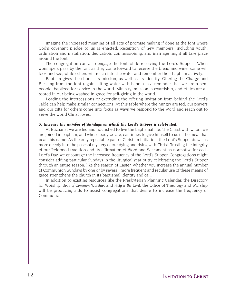Imagine the increased meaning of all acts of promise making if done at the font where God's covenant pledge to us is enacted. Reception of new members, including youth, ordination and installation, dedication, commissioning, and marriage might all take place around the font.

The congregation can also engage the font while receiving the Lord's Supper. When worshipers pass by the font as they come forward to receive the bread and wine, some will look and see, while others will reach into the water and remember their baptism actively.

Baptism gives the church its mission, as well as its identity. Offering the Charge and Blessing from the font (again, lifting water with hands) is a reminder that we are a sent people, baptized for service in the world. Ministry, mission, stewardship, and ethics are all rooted in our being washed in grace for self-giving in the world.

Leading the intercessions or extending the offering invitation from behind the Lord's Table can help make similar connections. At this table where the hungry are fed, our prayers and our gifts for others come into focus as ways we respond to the Word and reach out to serve the world Christ loves.

#### *5. Increase the number of Sundays on which the Lord's Supper is celebrated.*

At Eucharist we are fed and nourished to live the baptismal life. The Christ with whom we are joined in baptism, and whose body we are, continues to give himself to us in the meal that bears his name. As the only repeatable part of Christian initiation, the Lord's Supper draws us more deeply into the paschal mystery of our dying and rising with Christ. Trusting the integrity of our Reformed tradition and its affirmation of Word and Sacrament as normative for each Lord's Day, we encourage the increased frequency of the Lord's Supper. Congregations might consider adding particular Sundays in the liturgical year or try celebrating the Lord's Supper through an entire season, like the season of Easter. Whether you increase the annual number of Communion Sundays by one or by several, more frequent and regular use of these means of grace strengthens the church in its baptismal identity and call.

In addition to existing resources like the Presbyterian Planning Calendar, the Directory for Worship, *Book of Common Worship*, and *Holy is the Lord*, the Office of Theology and Worship will be producing aids to assist congregations that desire to increase the frequency of Communion.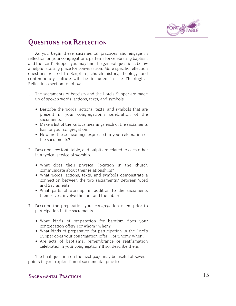

### **Questions for Reflection**

As you begin these sacramental practices and engage in reflection on your congregation's patterns for celebrating baptism and the Lord's Supper, you may find the general questions below a helpful starting place for conversation. More specific reflection questions related to Scripture, church history, theology, and contemporary culture will be included in the Theological Reflections section to follow.

- 1. The sacraments of baptism and the Lord's Supper are made up of spoken words, actions, texts, and symbols.
	- Describe the words, actions, texts, and symbols that are present in your congregation's celebration of the sacraments.
	- Make a list of the various meanings each of the sacraments has for your congregation.
	- How are these meanings expressed in your celebration of the sacraments?
- 2. Describe how font, table, and pulpit are related to each other in a typical service of worship.
	- What does their physical location in the church communicate about their relationships?
	- What words, actions, texts, and symbols demonstrate a connection between the two sacraments? Between Word and Sacrament?
	- What parts of worship, in addition to the sacraments themselves, involve the font and the table?
- 3. Describe the preparation your congregation offers prior to participation in the sacraments.
	- What kinds of preparation for baptism does your congregation offer? For whom? When?
	- What kinds of preparation for participation in the Lord's Supper does your congregation offer? For whom? When?
	- Are acts of baptismal remembrance or reaffirmation celebrated in your congregation? If so, describe them.

The final question on the next page may be useful at several points in your exploration of sacramental practice.

### **SACRAMENTAL PRACTICES** 13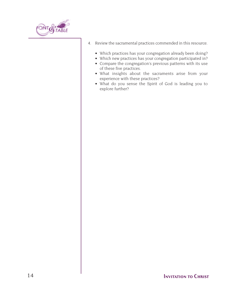

- 4. Review the sacramental practices commended in this resource.
	- Which practices has your congregation already been doing?
	- Which new practices has your congregation participated in?
	- Compare the congregation's previous patterns with its use of these five practices.
	- What insights about the sacraments arise from your experience with these practices?
	- What do you sense the Spirit of God is leading you to explore further?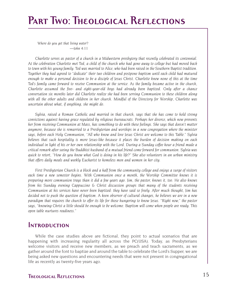# **Part Two: Theological Reflections**

*Where do you get that living water? —John 4:11*

*Charlotte serves as pastor of a church in a Midwestern presbytery that recently celebrated its centennial. At the celebration Charlotte met Ted, a child of the church who had gone away to college but had moved back to town with his young family. Ted was married to Alice, who had been raised in the Southern Baptist tradition. Together they had agreed to "dedicate" their two children and postpone baptism until each child had matured enough to make a personal decision to be a disciple of Jesus Christ. Charlotte knew none of this at the time Ted's family came forward to receive Communion at the service. As the family became active in the church, Charlotte assumed the five- and eight-year-old boys had already been baptized. Only after a chance conversation six months later did Charlotte realize she had been serving Communion to these children along with all the other adults and children in her church. Mindful of the Directory for Worship, Charlotte was uncertain about what, if anything, she might do.*

*Sylvia, raised a Roman Catholic and married in that church, says that she has come to hold strong convictions against having grace regulated by religious bureaucrats. Perhaps her divorce, which now prevents her from receiving Communion at Mass, has something to do with these feelings. She says that doesn't matter anymore, because she is remarried to a Presbyterian and worships in a new congregation where the minister says, before each Holy Communion, "All who know and love Jesus Christ are welcome to this Table." Sylvia believes that such hospitality is more Jesus-like because it places the burden of decision making on each individual in light of his or her own relationship with the Lord. During a Sunday coffee hour a friend made a critical remark after seeing the Buddhist husband of a mutual friend come forward for communion. Sylvia was quick to retort, "How do you know what God is doing in his life?" She also volunteers in an urban ministry that offers daily meals and weekly Eucharist to homeless men and women in her city.*

*First Presbyterian Church is a block and a half from the community college and enjoys a surge of visitors each time a new semester begins. With Communion once a month, the Worship Committee knows it is preparing more communion trays than it did a few years ago. Jim, the pastor, knows it, too. He also knows from his Sunday evening Cappuccino & Christ discussion groups that many of the students receiving Communion at his services have never been baptized: they have said so freely. After much thought, Jim has decided not to push the question of baptism. A keen observer of cultural changes, he believes we are in a new paradigm that requires the church to offer its life for those hungering to know Jesus. "Right now," the pastor says, "knowing Christ a little should be enough to be welcome. Baptism will come when people are ready. This open table nurtures readiness."*

### **Introduction**

While the case studies above are fictional, they point to actual scenarios that are happening with increasing regularity all across the PC(USA). Today, as Presbyterians welcome visitors and receive new members, as we preach and teach sacraments, as we gather around the font to baptize and around the table to celebrate the Lord's Supper, we are being asked new questions and encountering needs that were not present in congregational life as recently as twenty-five years ago.

### **Theological Reflections** 15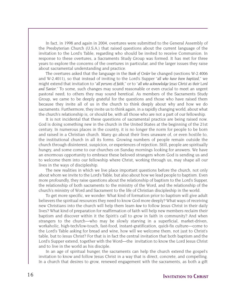In fact, in 1998 and again in 2004, overtures were submitted to the General Assembly of the Presbyterian Church (U.S.A.) that raised questions about the current language of the invitation to the Lord's Table, regarding who should be invited to receive Communion. In response to these overtures, a Sacraments Study Group was formed. It has met for three years to explore the concerns of the overtures in particular, and the larger issues they raise about sacramental understanding and practice.

The overtures asked that the language in the *Book of Order* be changed (sections W-2.4006 and W-2.4011), so that instead of inviting to the Lord's Supper "*all who have been baptized*," we might extend that invitation to "*all persons of faith*," or to "*all who acknowledge Jesus Christ as their Lord and Savior*." To some, such changes may sound reasonable or even crucial to meet an urgent pastoral need; to others they may sound heretical. As members of the Sacraments Study Group, we came to be deeply grateful for the questions and those who have raised them because they invite all of us in the church to think deeply about why and how we do sacraments. Furthermore, they invite us to think again, in a rapidly changing world, about what the church's relationship is, or should be, with all those who are not a part of our fellowship.

It is not incidental that these questions of sacramental practice are being raised now. God is doing something new in the church in the United States at the beginning of the 21st century. In numerous places in the country, it is no longer the norm for people to be born and raised in a Christian church. Many go about their lives unaware of, or even hostile to, the institutional church in all its forms. Growing numbers of people remain outside the church through disinterest, suspicion, or experiences of rejection. Still, people are spiritually hungry, and some come to our churches on Sunday mornings looking for answers. We have an enormous opportunity to embrace these beloved strangers whom God is sending us and to welcome them into our fellowship where Christ, working through us, may shape all our lives in the ways of discipleship.

The new realities in which we live place important questions before the church, not only about whom we invite to the Lord's Table, but also about how we lead people to baptism. Even more profoundly, they raise questions about the relationship of baptism to the Lord's Supper, the relationship of both sacraments to the ministry of the Word, and the relationship of the church's ministry of Word and Sacrament to the life of Christian discipleship in the world.

To get more specific, we wonder: What kind of formation prior to baptism will give adult believers the spiritual resources they need to know God more deeply? What ways of receiving new Christians into the church will help them learn *how* to follow Jesus Christ in their daily lives? What kind of preparation for reaffirmation of faith will help new members reclaim their baptism and discover within it the Spirit's call to grow in faith in community? And when strangers to the church—who may be slowly starving in a superficial, market-driven, workaholic, high-tech/low-touch, fast-food, instant-gratification, quick-fix culture—come to the Lord's Table asking for bread and wine, how will we welcome them, not just to Christ's table, but to Jesus Christ? For that is in fact the central invitation that both baptism and the Lord's Supper extend, together with the Word—the invitation to know the Lord Jesus Christ and to live in the world as his disciple.

In an age of spiritual hunger, the sacraments can help the church extend the gospel's invitation to know and follow Jesus Christ in a way that is direct, concrete, and compelling. In a church that desires to grow, renewed engagement with the sacraments, as both a gift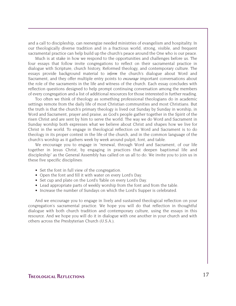and a call to discipleship, can reenergize needed ministries of evangelism and hospitality. In our theologically diverse tradition and in a fractious world, strong, visible, and frequent sacramental practice can help build up the church's peace around the One who is our peace.

Much is at stake in how we respond to the opportunities and challenges before us. The four essays that follow invite congregations to reflect on their sacramental practice in dialogue with Scripture, church history, Reformed theology, and contemporary culture. The essays provide background material to *inform* the church's dialogue about Word and Sacrament, and they offer multiple entry points to *encourage* important conversations about the role of the sacraments in the life and witness of the church. Each essay concludes with reflection questions designed to help prompt continuing conversation among the members of every congregation and a list of additional resources for those interested in further reading.

Too often we think of theology as something professional theologians do in academic settings remote from the daily life of most Christian communities and most Christians. But the truth is that the church's primary theology is lived out Sunday by Sunday in worship, in Word and Sacrament, prayer and praise, as God's people gather together in the Spirit of the risen Christ and are sent by him to serve the world. The way we do Word and Sacrament in Sunday worship both expresses what we believe about Christ and shapes how we live for Christ in the world. To engage in theological reflection on Word and Sacrament is to do theology in its proper context in the life of the church, and in the common language of the church's worship as it gathers week by week around pulpit, font, and table.

We encourage you to engage in "renewal, through Word and Sacrament, of our life together in Jesus Christ, by engaging in practices that deepen baptismal life and discipleship" as the General Assembly has called on us all to do. We invite you to join us in these five specific disciplines:

- Set the font in full view of the congregation.
- Open the font and fill it with water on every Lord's Day.
- Set cup and plate on the Lord's Table on every Lord's Day.
- Lead appropriate parts of weekly worship from the font and from the table.
- Increase the number of Sundays on which the Lord's Supper is celebrated.

And we encourage you to engage in lively and sustained theological reflection on your congregation's sacramental practice. We hope you will do that reflection in thoughtful dialogue with both church tradition and contemporary culture, using the essays in this resource. And we hope you will do it in dialogue with one another in your church and with others across the Presbyterian Church (U.S.A.).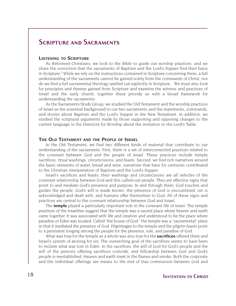### **Scripture and Sacraments**

#### **LISTENING TO SCRIPTURE**

As Reformed Christians, we look to the Bible to guide our worship practices, and we share the conviction that the sacraments of Baptism and the Lord's Supper find their basis in Scripture.<sup>1</sup> While we rely on the instructions contained in Scripture concerning them, a full understanding of the sacraments cannot be gained solely from the commands of Christ, nor do we find a full sacramental theology spelled out explicitly in Scripture. We must also look for principles and themes gained from Scripture and examine the witness and practices of Israel and the early church; together these provide us with a broad framework for understanding the sacraments.

As the Sacraments Study Group, we studied the Old Testament and the worship practices of Israel as the essential background to our two sacraments and the statements, commands, and stories about Baptism and the Lord's Supper in the New Testament. In addition, we studied the scriptural arguments made by those supporting and opposing changes to the current language in the Directory for Worship about the invitation to the Lord's Table.

#### **THE OLD TESTAMENT AND THE PEOPLE OF ISRAEL**

In the Old Testament, we find two different kinds of material that contribute to our understanding of the sacraments. First, there is a set of interconnected practices related to the covenant between God and the people of Israel. These practices include temple sacrifices, ritual washings, circumcisions, and feasts. Second, we find rich narratives around the basic elements of water, bread and wine, narratives that have for centuries contributed to the Christian interpretation of Baptism and the Lord's Supper.

Israel's sacrifices and feasts, their washings and circumcisions are all vehicles of the covenant relationship between God and this called-out people. They are effective signs that point to and mediate God's presence and purpose. In and through them, God touches and guides the people. God's will is made known, the presence of God is encountered, sin is acknowledged and dealt with, and humans offer themselves to God. All of these signs and practices are central to the covenant relationship between God and Israel.

The **temple** played a particularly important role in the covenant life of Israel. The temple practices of the Israelites suggest that the temple was a sacred place where heaven and earth came together. It was associated with life and creation and understood to be the place where paradise or Eden was located. Called "the house of God," the temple was a "sacramental" place in that it mediated the presence of God. Pilgrimages to the temple and the pilgrim feasts point to a persistent longing among the people for the presence, rule, and paradise of God.

What was true for the temple as a whole was also true for the **sacrifices** offered there and Israel's system of atoning for sin. The overarching goal of the sacrifices seems to have been to reclaim what was lost in Eden. In the sacrifices, the will of God for God's people and the will of the persons offering sacrifices coincide, and fellowship between God and God's people is reestablished. Heaven and earth meet in the flames and smoke. Both the corporate and the individual offerings are means to the end of true communion between God and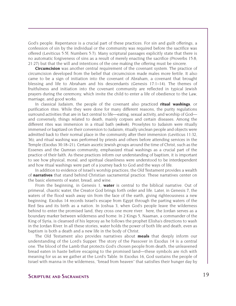God's people. Repentance is a crucial part of these practices. For sin and guilt offerings, a confession of sin by the individual or the community was required before the sacrifice was offered (Leviticus 5:5f; Numbers 5:7). Many scriptural passages explicitly state that there is no automatic forgiveness of sins as a result of merely enacting the sacrifice (Proverbs 15:8; 21:27) but that the will and intentions of the one making the offering must be sincere.

**Circumcision** was another central requirement of the covenant system. The practice of circumcision developed from the belief that circumcision made males more fertile. It also came to be a sign of initiation into the covenant of Abraham, a covenant that brought blessing and life to Abraham and his descendants (Genesis 17:1–14). The themes of fruitfulness and initiation into the covenant community are reflected in typical Jewish prayers during the ceremony, which invite the child to enter a life of obedience to the Law, marriage, and good works.

In classical Judaism, the people of the covenant also practiced **ritual washings**, or purification rites. While they were done for many different reasons, the purity regulations surround activities that are in fact central to life—eating, sexual activity, and worship of God and conversely, things related to death, mainly corpses and certain diseases. Among the different rites was immersion in a ritual bath (*mikveh*). Proselytes to Judaism were ritually immersed or baptized on their conversion to Judaism; ritually unclean people and objects were admitted back to their normal place in the community after their immersion (Leviticus 11:32, 36); and ritual washing was performed by priests and others before attending services in the Temple (Exodus 30:18–21). Certain ascetic Jewish groups around the time of Christ, such as the Essenes and the Qumran community, emphasized ritual washings as a crucial part of the practice of their faith. As these practices inform our understanding of baptism, it is important to see how physical, moral, and spiritual cleanliness were understood to be interdependent and how ritual washings were part of a journey back to God and the ways of life.

In addition to evidence of Israel's worship practices, the Old Testament provides a wealth of **narratives** that stand behind Christian sacramental practice. These narratives center on the basic elements of water, bread, and wine.

From the beginning, in Genesis 1, **water** is central to the biblical narrative. Out of primeval, chaotic water, the Creator God brings forth order and life. Later, in Genesis 7, the waters of the flood wash away sin from the face of the earth, giving righteousness a new beginning. Exodus 14 records Israel's escape from Egypt through the parting waters of the Red Sea and its birth as a nation. In Joshua 3, when God's people leave the wilderness behind to enter the promised land, they cross one more river: here, the Jordan serves as a boundary marker between wilderness and home. In 2 Kings 5, Naaman, a commander of the King of Syria, is cleansed of his leprosy as he follows the prophet Elisha's directions to wash in the Jordan River. In all these stories, water holds the power of both life and death, even as baptism is both a death and a new life in the body of Christ.

The Old Testament also provides narratives about **meals** that deeply inform our understanding of the Lord's Supper. The story of the Passover in Exodus 14 is a central one. The blood of the Lamb that protects God's chosen people from death, the unleavened bread eaten in haste before escaping to the promised land—these symbols are rich with meaning for us as we gather at the Lord's Table. In Exodus 16, God sustains the people of Israel with manna in the wilderness, "bread from heaven" that satisfies their hunger day by

### **SCRIPTURE AND SACRAMENTS** 19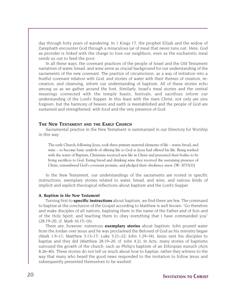day through forty years of wandering. In 1 Kings 17, the prophet Elijah and the widow of Zarephath encounter God through a miraculous jar of meal that never runs out. Here, God as provider is linked with the charge to love our neighbors, even as the eucharistic meal sends us out to feed the poor.

In all these ways, the covenant practices of the people of Israel and the Old Testament narratives of water, bread, and wine serve as crucial background for our understanding of the sacraments of the new covenant. The practice of circumcision, as a way of initiation into a fruitful covenant relation with God, and stories of water with their themes of creation, recreation, and cleansing, inform our understanding of baptism. All of these stories echo among us as we gather around the font. Similarly, Israel's meal stories and the central meanings connected with the temple feasts, festivals, and sacrifices inform our understanding of the Lord's Supper. In this feast with the risen Christ, not only are sins forgiven, but the harmony of heaven and earth is reestablished and the people of God are sustained and strengthened, with food and the very presence of God.

#### **THE NEW TESTAMENT AND THE EARLY CHURCH**

Sacramental practice in the New Testament is summarized in our Directory for Worship in this way:

The early Church, following Jesus, took three primary material elements of life – water, bread, and wine – to become basic symbols of offering life to God as Jesus had offered his life. Being washed with the water of Baptism, Christians received new life in Christ and presented their bodies to be living sacrifices to God. Eating bread and drinking wine they received the sustaining presence of Christ, remembered God's covenant promise, and pledged their obedience anew. [W-.3033(1)]

In the New Testament, our understandings of the sacraments are rooted in specific instructions, exemplary stories related to water, bread, and wine, and various kinds of implicit and explicit theological reflections about baptism and the Lord's Supper.

#### *A. Baptism in the New Testament*

Turning first to **specific instructions** about baptism, we find there are few. The command to baptize at the conclusion of the Gospel according to Matthew is well known: "Go therefore and make disciples of all nations, baptizing them in the name of the Father and of Son and of the Holy Spirit, and teaching them to obey everything that I have commanded you" (28:19–20; cf. Mark 16:15–16).

There are, however, numerous **exemplary stories** about baptism. John poured water from the Jordan over Jesus and he was proclaimed the Beloved of God as his ministry began (Mark 1:9–11; Matthew 3:13–17; Luke 3:21–22; John 1:29–34). Jesus sent his disciples to baptize and they did (Matthew 28:19–20; cf. John 4:2). In Acts, many stories of baptisms surround the growth of the church, such as Philip's baptism of an Ethiopian eunuch (Acts 8:26–40). These stories do not tell us much about how to baptize; rather they witness to the way that many who heard the good news responded to the invitation to follow Jesus and subsequently presented themselves to be washed.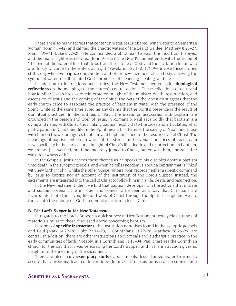There are also many stories that center on water. Jesus offered living water to a Samaritan woman (John 4:1–42) and calmed the chaotic waters of the Sea of Galilee (Matthew 8:23–27; Mark 4:35–41; Luke 8:22–25). He commanded a blind man to wash the mud from his eyes, and the man's sight was restored (John 9:1–12). The New Testament ends with the vision of "the river of the water of life" that flows from the throne of God, and the invitation for all who are thirsty to come to the waters as a gift (Revelation 22:1–2, 17). We invoke these stories still today when we baptize our children and other new members of the body, allowing the symbol of water to call to mind God's promises of cleansing, healing, and life.

In addition to instructions and stories, the New Testament writers offer **theological reflections** on the meanings of the church's central actions. These reflections often reveal how familiar Jewish rites were reinterpreted in light of the ministry, death, resurrection, and ascension of Jesus and the coming of the Spirit. The Acts of the Apostles suggests that the early church came to associate the practice of baptism in water with the presence of the Spirit, while at the same time avoiding any claims that the Spirit's presence is the result of our ritual practices. In the writings of Paul, the meanings associated with baptism are grounded in the person and work of Jesus. In Romans 6, Paul says boldly that baptism is a dying and rising with Christ, thus linking baptism explicitly to the cross and articulating what participation in Christ and life in the Spirit mean. In 1 Peter 3, the saving of Noah and those with him on the ark prefigures baptism, and baptism is tied to the resurrection of Christ. The meanings of baptism, which grow out of the stories and covenant practices of Israel, gain new specificity in the early church in light of Christ's life, death, and resurrection. In baptism, we are not just washed, but fundamentally joined to Christ, buried with him, and raised to walk in newness of life.

In the Gospels, Jesus echoes these themes as he speaks to his disciples about a baptism unto death in the synoptic gospels, and when he tells Nicodemus about a baptism that is linked with new birth in John. Unlike the other Gospel writers, John records neither a specific command by Jesus to baptize nor an account of the institution of the Lord's Supper. Instead, the sacraments are integrated into the call of Christ to follow him in his life, death, and resurrection.

In the New Testament, then, we find that baptism develops from the actions that initiate and sustain covenant life in Israel and comes to be seen as a way that Christians are incorporated into the saving life and work of Christ through the Spirit. In baptism, we are thrust into the middle of God's redemptive action in Jesus Christ.

#### *B. The Lord's Supper in the New Testament*

In regards to the Lord's Supper, a quick survey of New Testament texts yields strands of materials similar to those discussed above concerning baptism.

In terms of **specific instructions**, the institution narratives found in the synoptic gospels and Paul (Mark 14:22–26; Luke 22:14–23; 1 Corinthians 11:22–26; Matthew 26:26–29) are central. In addition, there are other instructions about meals and eucharistic practice in the early communities of faith. Notably, in 1 Corinthians 11:17–34, Paul chastises the Corinthian church for the way that it was celebrating the Lord's Supper, and in his instruction gives us insight into the meaning of the sacrament.

There are also many **exemplary stories** about meals. Jesus turned water to wine to assure that a wedding feast could continue (John 2:1–12). Jesus turns scant resources into

### **Scripture and Sacraments** 21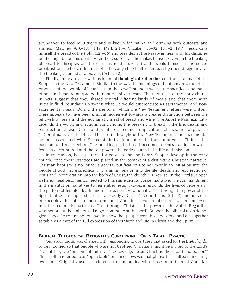abundance to feed multitudes and is known for eating and drinking with outcasts and sinners (Matthew 9:10–13, 11:19; Mark 2:15–17; Luke 5:30–32, 15:1–2, 19:7). Jesus calls himself the bread of life (John 6:25–36) and presides at the Passover meal with his disciples on the night before his death. After the resurrection, he makes himself known in the breaking of bread to disciples on the Emmaus road (Luke 24) and reveals himself as he serves breakfast on the beach (John 21:14). The early church after Pentecost gathered regularly for the breaking of bread and prayers (Acts 2:42).

Finally, there are also various kinds of **theological reflections** on the meanings of the Supper in the New Testament. Similar to the way the meanings of baptism grew out of the practices of the people of Israel, within the New Testament we see the sacrifices and meals of ancient Israel reinterpreted in relationship to Jesus. The narratives of the early church in Acts suggest that they shared several different kinds of meals and that there were initially fluid boundaries between what we would differentiate as sacramental and nonsacramental meals. During the period in which the New Testament letters were written, there appears to have been gradual movement towards a clearer distinction between the fellowship meals and the eucharistic meal of bread and wine. The Apostle Paul explicitly grounds the words and actions surrounding the breaking of bread in the life, death, and resurrection of Jesus Christ and points to the ethical implications of sacramental practice (1 Corinthians 5:8, 10:14–22, 11:17–34). Throughout the New Testament, the sacramental actions associated with Eucharist find a foundation in the narrative of Christ's life, passion, and resurrection. The breaking of the bread becomes a central action in which Jesus is encountered and that empowers the early church in its life and mission.

In conclusion, basic patterns for baptism and the Lord's Supper develop in the early church, once these practices are placed in the context of a distinctive Christian narrative. Christian baptism is no longer a general purification rite nor merely an initiation into the people of God; more specifically, it is an immersion into the life, death, and resurrection of Jesus and incorporation into the body of Christ, the church.<sup>2</sup> Likewise, in the Lord's Supper, a shared meal becomes connected to this same central gospel narrative. The commandment in the institution narratives to remember Jesus (*anamnesis*) grounds the lives of believers in the pattern of his life, death, and resurrection.<sup>3</sup> Additionally, it is through the power of the Spirit that we are baptized into the one body of Christ (1 Corinthians 12:1–13) and united as one people at his table. In these communal, Christian sacramental actions, we are immersed into the redemptive action of God, through Christ, in the power of the Spirit. Regarding whether or not the unbaptized might commune at the Lord's Supper, the biblical texts do not give a specific command, but we do know that people were both baptized and ate together at table as a part of the full expression of their faith and life in Christ and the Spirit.

#### **BIBLICAL-THEOLOGICAL RATIONALES CONCERNING "OPEN TABLE" PRACTICE**

Our study group was charged with responding to overtures that asked for the *Book of Order* to be modified so that people who are not baptized Christians might be invited to the Lord's Table if they are "persons of faith" or "acknowledge Jesus Christ as their Lord and Savior."<sup>4</sup> This is often referred to as "open table" practice; however, that phrase has shifted in meaning over time. Originally used in reference to communing with those from different Christian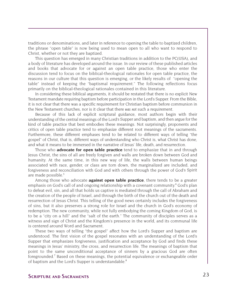traditions or denominations, and later in reference to opening the table to baptized children, the phrase "open table" is now being used to mean open to all who want to respond to Christ, whether or not they are baptized.

This question has emerged in many Christian traditions in addition to the PC(USA), and a body of literature has developed around the issue. In our review of these published articles and books that advocate for or against an open table practice, those who enter the discussion tend to focus on the biblical-theological rationales for open table practice, the reasons in our culture that this question is emerging, or the likely results of "opening the table" instead of keeping the "baptismal requirement." The following reflections focus primarily on the biblical-theological rationales contained in this literature.

In considering these biblical arguments, it should be restated that there is no explicit New Testament mandate requiring baptism before participation in the Lord's Supper. From the Bible, it is not clear that there was a specific requirement for Christian baptism before communion in the New Testament churches, nor is it clear that there *was not* such a requirement.

Because of this lack of explicit scriptural guidance, most authors begin with their understanding of the central meanings of the Lord's Supper and baptism, and then argue for the kind of table practice that best embodies these meanings. Not surprisingly, proponents and critics of open table practice tend to emphasize different root meanings of the sacraments. Furthermore, these different emphases tend to be related to different ways of telling "the gospel" of Christ, that is, different ways of understanding who Christ is, what Christ has done, and what it means to be immersed in the narrative of Jesus' life, death, and resurrection.

Those who **advocate for open table practice** tend to emphasize that in and through Jesus Christ, the sins of all are freely forgiven and walls are broken down between God and humanity. At the same time, in this new way of life, the walls between human beings associated with race, gender, or class are torn down, the marginalized are included, and forgiveness and reconciliation with God and with others through the power of God's Spirit are made possible.<sup>5</sup>

Among those who advocate **against open table practice**, there tends to be a greater emphasis on God's call of and ongoing relationship with a covenant community. <sup>6</sup> God's plan to defeat evil, sin, and all that holds us captive is mediated through the call of Abraham and the creation of the people of Israel, and through the birth of the church out of the death and resurrection of Jesus Christ. This telling of the good news certainly includes the forgiveness of sins, but it also preserves a strong role for Israel and the church in God's economy of redemption. The new community, while not fully embodying the coming Kingdom of God, is to be a "city on a hill" and the "salt of the earth." The community of disciples serves as a witness and sign of Christ and the Kingdom's presence in the world, and its communal life is centered around Word and Sacrament.

These two ways of telling "the gospel" affect how the Lord's Supper and baptism are understood. The first vision of the gospel resonates with an understanding of the Lord's Supper that emphasizes forgiveness, justification and acceptance by God and finds these meanings in Jesus' ministry, the cross, and resurrection life. The meanings of baptism that point to the same unconditional acceptance of sinners by a gracious God are often foregrounded.<sup>7</sup> Based on these meanings, the potential equivalence or exchangeable order of baptism and the Lord's Supper is understandable.<sup>8</sup>

### **Scripture and Sacraments** 23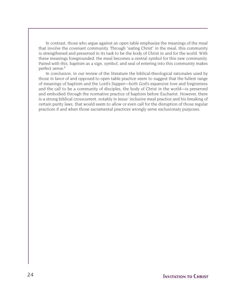In contrast, those who argue against an open table emphasize the meanings of the meal that involve the covenant community. Through "eating Christ" in the meal, this community is strengthened and preserved in its task to be the body of Christ in and for the world. With these meanings foregrounded, the meal becomes a central symbol for this new community. Paired with this, baptism as a sign, symbol, and seal of entering into this community makes perfect sense.<sup>9</sup>

In conclusion, in our review of the literature the biblical-theological rationales used by those in favor of and opposed to open table practice seem to suggest that the fullest range of meanings of baptism and the Lord's Supper—both God's expansive love and forgiveness and the call to be a community of disciples, the body of Christ in the world—is preserved and embodied through the normative practice of baptism before Eucharist. However, there is a strong biblical crosscurrent, notably in Jesus' inclusive meal practice and his breaking of certain purity laws, that would seem to allow or even call for the disruption of those regular practices if and when those sacramental practices wrongly serve exclusionary purposes.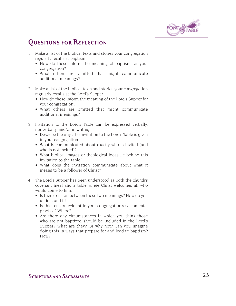

### **Questions for Reflection**

- 1. Make a list of the biblical texts and stories your congregation regularly recalls at baptism.
	- How do these inform the meaning of baptism for your congregation?
	- What others are omitted that might communicate additional meanings?
- 2 Make a list of the biblical texts and stories your congregation regularly recalls at the Lord's Supper.
	- How do these inform the meaning of the Lord's Supper for your congregation?
	- What others are omitted that might communicate additional meanings?
- 3. Invitation to the Lord's Table can be expressed verbally, nonverbally, and/or in writing.
	- Describe the ways the invitation to the Lord's Table is given in your congregation.
	- What is communicated about exactly who is invited (and who is not invited)?
	- What biblical images or theological ideas lie behind this invitation to the table?
	- What does the invitation communicate about what it means to be a follower of Christ?
- 4. The Lord's Supper has been understood as both the church's covenant meal and a table where Christ welcomes all who would come to him.
	- Is there tension between these two meanings? How do you understand it?
	- Is this tension evident in your congregation's sacramental practice? Where?
	- Are there any circumstances in which you think those who are not baptized should be included in the Lord's Supper? What are they? Or why not? Can you imagine doing this in ways that prepare for and lead to baptism? How?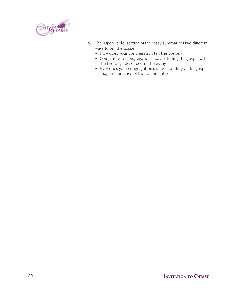

- 5. The "Open Table" section of the essay summarizes two different ways to tell the gospel.
	- How does your congregation tell the gospel?
	- Compare your congregation's way of telling the gospel with the two ways described in the essay.
	- How does your congregation's understanding of the gospel shape its practice of the sacraments?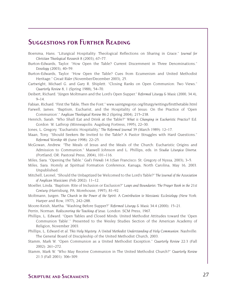### **Suggestions for Further Reading**

- Boersma, Hans. "Liturgical Hospitality: Theological Reflections on Sharing in Grace." *Journal for Christian Theological Research* 8 (2003), 67–77.
- Burton-Edwards, Taylor. "How Open the Table? Current Discernment in Three Denominations." *Doxology* (2003), 40–59.
- Burton-Edwards, Taylor. "How Open the Table? Cues from Ecumenism and United Methodist Heritage." *Circuit Rider* (November/December 2003), 25.
- Cartwright, Michael G. and Gary R. Shiplett. "Closing Ranks on Open Communion: Two Views." *Quarterly Review* 8, 1 (Spring 1988), 54–70.
- Deibert, Richard. "Jürgen Moltmann and the Lord's Open Supper." *Reformed Liturgy & Music* (2000, 34.4),  $9 - 14$ .

Fabian, Richard. "First the Table, Then the Font." www.saintgregorys.org/liturgy/writings/firstthetable.html

- Farwell, James. "Baptism, Eucharist, and the Hospitality of Jesus: On the Practice of 'Open Communion'." *Anglican Theological Review* 86:2 (Spring 2004), 215–238.
- Henrich, Sarah. "Who Shall Eat and Drink at the Table?" *What is Changing in Eucharistic Practice?* Ed. Gordon W. Lathrop (Minneapolis: Augsburg Fortress, 1995), 22–30.
- Jones, L. Gregory. "Eucharistic Hospitality," *The Reformed Journal* 39 (March 1989): 12–17.
- Maan, Tony. "Should Seekers Be Invited to the Table? A Pastor Struggles with Hard Questions." *Reformed Worship* 48 (June 1998): 22–25.
- McGowan, Andrew. "The Meals of Jesus and the Meals of the Church: Eucharistic Origins and Admission to Communion." Maxwell Johnson and L. Phillips, eds. in *Studia Liturgica Diversa*. (Portland, OR: Pastoral Press, 2004), 101–116.
- Miles, Sara. "Opening the Table." *God's Friends* 14:1(San Francisco: St. Gregory of Nyssa, 2003), 3–5.
- Miles, Sara. Homily at Spiritual Formation Conference, Kanuga, North Carolina, May 16, 2003. Unpublished.
- Mitchell, Leonel, "Should the Unbaptized be Welcomed to the Lord's Table?" *The Journal of the Association of Anglican Musicians* (Feb 2002): 11–12.
- Moeller, Linda. "Baptism: Rite of Inclusion or Exclusion?" *Leaps and Boundaries: The Prayer Book in the 21st Century* (Harrisburg, PA: Morehouse, 1997), 81–92.
- Moltmann, Jurgen. *The Church in the Power of the Spirit: A Contribution to Messianic Ecclesiology* (New York: Harper and Row, 1977), 242–288.
- Moore-Keish, Martha. "Washing Before Supper?" *Reformed Liturgy & Music* 34:4 (2000): 15–21.

Perrin, Norman. *Rediscovering the Teaching of Jesus*. London: SCM Press, 1967.

- Phillips, L. Edward. "Open Tables and Closed Minds: United Methodist Attitudes toward the 'Open Communion Table'." Presented to the Wesley Studies Section of the American Academy of Religion, November 2003.
- Phillips, L. Edward et al. *This Holy Mystery: A United Methodist Understanding of Holy Communion*. Nashville: The General Board of Discipleship of the United Methodist Church, 2003.
- Stamm, Mark W. "Open Communion as a United Methodist Exception." *Quarterly Review* 22:3 (Fall 2002): 261–272.
- Stamm, Mark W. "Who May Receive Communion in The United Methodist Church?" *Quarterly Review* 21:3 (Fall 2001): 306–309.

### **Scripture and Sacraments** 27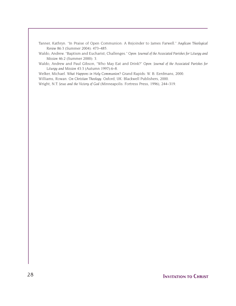Tanner, Kathryn. "In Praise of Open Communion: A Rejoinder to James Farwell." *Anglican Theological Review* 86:3 (Summer 2004): 473–485.

Waldo, Andrew. "Baptism and Eucharist; Challenges." *Open: Journal of the Associated Parishes for Liturgy and Mission* 46:2 (Summer 2000): 3.

Waldo, Andrew and Paul Gibson, "Who May Eat and Drink?" *Open: Journal of the Associated Parishes for Liturgy and Mission* 43:3 (Autumn 1997):6–8.

Welker, Michael. *What Happens in Holy Communion?* Grand Rapids: W. B. Eerdmans, 2000.

Williams, Rowan. *On Christian Theology*. Oxford, UK: Blackwell Publishers, 2000.

Wright, N.T. *Jesus and the Victory of God* (Minneapolis: Fortress Press, 1996), 244–319.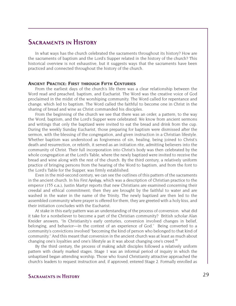### **Sacraments in History**

In what ways has the church celebrated the sacraments throughout its history? How are the sacraments of baptism and the Lord's Supper related in the history of the church? This historical overview is not exhaustive, but it suggests ways that the sacraments have been practiced and connected throughout the history of the church.

#### **ANCIENT PRACTICE: FIRST THROUGH FIFTH CENTURIES**

From the earliest days of the church's life there was a clear relationship between the Word read and preached, baptism, and Eucharist. The Word was the creative voice of God proclaimed in the midst of the worshiping community. The Word called for repentance and change, which led to baptism. The Word called the faithful to become one in Christ in the sharing of bread and wine as Christ commanded his disciples.

From the beginning of the church we see that there was an order, a pattern, to the way the Word, baptism, and the Lord's Supper were celebrated. We know from ancient sermons and writings that only the baptized were invited to eat the bread and drink from the cup. During the weekly Sunday Eucharist, those preparing for baptism were dismissed after the sermon, with the blessing of the congregation, and given instruction in a Christian lifestyle. Whether baptism was understood as forgiveness of sin, healing, being joined to Christ's death and resurrection, or rebirth, it served as an initiation rite, admitting believers into the community of Christ. Their full incorporation into Christ's body was then celebrated by the whole congregation at the Lord's Table, where the newly baptized were invited to receive the bread and wine along with the rest of the church. By the third century, a relatively uniform practice of bringing persons from the hearing of the Word to baptism, and from the font to the Lord's Table for the Supper, was firmly established.

Even in the mid-second century, we can see the outlines of this pattern of the sacraments in the ancient church. In his *First Apology*, which was a description of Christian practice to the emperor (155 c.e.), Justin Martyr reports that new Christians are examined concerning their creedal and ethical commitment; then they are brought by the faithful to water and are washed in the water in the name of the Trinity. The newly baptized are then led to the assembled community where prayer is offered for them, they are greeted with a holy kiss, and their initiation concludes with the Eucharist.

At stake in this early pattern was an understanding of the process of conversion: what did it take for a nonbeliever to become a part of the Christian community? British scholar Alan Kreider answers, "In Christianity's early centuries, conversion involved changes in belief, belonging, and behavior—in the context of an experience of God." Being converted to a community's convictions involved "becoming the kind of person who belonged to that kind of community." And this meant that conversion in the ancient church was at least as much about changing one's loyalties and one's lifestyle as it was about changing one's creed.<sup>10</sup>

By the third century, the process of making adult disciples followed a relatively uniform pattern with clearly marked stages. Stage 1 was an informal period of inquiry in which the unbaptized began attending worship. Those who found Christianity attractive approached the church's leaders to request instruction and, if approved, entered Stage 2. Formally enrolled as

### **Sacraments in History** 29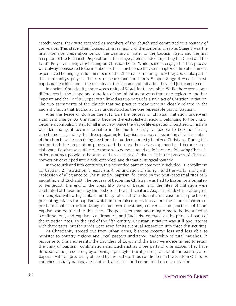catechumens, they were regarded as members of the church and committed to a journey of conversion. This stage often focused on a reshaping of the converts' lifestyle. Stage 3 was the final intensive preparation period, the washing in water or the baptism itself, and the first reception of the Eucharist. Preparation in this stage often included imparting the Creed and the Lord's Prayer as a way of reflecting on Christian belief. While persons engaged in this process were always considered to be members of the church, once they were baptized, the catechumens experienced belonging as full members of the Christian community; now they could take part in the community's prayers, the kiss of peace, and the Lord's Supper. Stage 4 was the postbaptismal teaching about the meaning of the sacramental initiation they had just completed.<sup>11</sup>

In ancient Christianity, there was a unity of Word, font, and table. While there were some differences in the shape and duration of the initiatory process from one region to another, baptism and the Lord's Supper were linked as two parts of a single act of Christian initiation. The two sacraments of the church that we practice today were so closely related in the ancient church that Eucharist was understood as the one repeatable part of baptism.

After the Peace of Constantine (312 c.e.) the process of Christian initiation underwent significant change. As Christianity became the established religion, belonging to the church became a compulsory step for all in society. Since the way of life expected of baptized Christians was demanding, it became possible in the fourth century for people to become lifelong catechumens, spending their lives preparing for baptism as a way of becoming official members of the church, while remaining free from the burdens borne by baptized Christians. During this period, both the preparation process and the rites themselves expanded and became more elaborate. Baptism was offered to those who demonstrated a life intent on following Christ. In order to attract people to baptism and an authentic Christian faith, the process of Christian conversion developed into a rich, extended, and dramatic liturgical journey.

In the fourth and fifth centuries, this expanded pattern commonly included: 1. enrollment for baptism, 2. instruction, 3. exorcism, 4. renunciation of sin, evil, and the world, along with profession of allegiance to Christ, and 5. baptism, followed by the post-baptismal rites of 6. anointing and Eucharist. The process of becoming Christian was tied to Easter, or alternately to Pentecost, the end of the great fifty days of Easter, and the rites of initiation were celebrated at those times by the bishop. In the fifth century, Augustine's doctrine of original sin, coupled with a high infant mortality rate, led to a dramatic increase in the practice of presenting infants for baptism, which in turn raised questions about the church's pattern of pre-baptismal instruction. Many of our own questions, concerns, and practices of infant baptism can be traced to this time. The post-baptismal anointing came to be identified as "confirmation"; and baptism, confirmation, and Eucharist emerged as the principal parts of the initiation rites. By the end of the fifth century, Christian initiation was still one process with three parts, but the seeds were sown for its eventual separation into three distinct rites.

As Christianity spread out from urban areas, bishops became less and less able to minister to country regions and local pastors undertook leadership of rural parishes. In response to this new reality, the churches of Egypt and the East were determined to retain the unity of baptism, confirmation and Eucharist as three parts of one action. They have done so to the present day by allowing a presbyter (local pastor) to anoint immediately after baptism with oil previously blessed by the bishop. Thus candidates in the Eastern Orthodox churches, usually babies, are baptized, anointed, and communed on one occasion.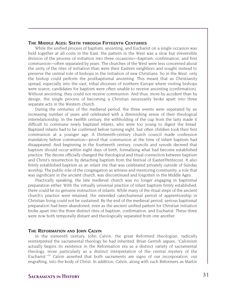#### **THE MIDDLE AGES: SIXTH THROUGH FIFTEENTH CENTURIES**

While the unified process of baptism, anointing, and Eucharist on a single occasion was held together at all costs in the East, the pattern in the West was a slow but irreversible division of the process of initiation into three occasions—baptism, confirmation, and first communion—often separated by years. The churches of the West were less concerned about the unity of the rites of initiation than were their Eastern neighbors and sought instead to preserve the central role of bishops in the initiation of new Christians. So in the West, only the bishop could perform the postbaptismal anointing. This meant that as Christianity spread, especially into the vast, tribal dioceses of northern Europe where visiting bishops were scarce, candidates for baptism were often unable to receive anointing (confirmation). Without anointing, they could not receive communion. And thus, more by accident than by design, the single process of becoming a Christian necessarily broke apart into three separate acts in the Western church.

During the centuries of the medieval period, the three events were separated by an increasing number of years and celebrated with a diminishing sense of their theological interrelationship. In the twelfth century, the withholding of the cup from the laity made it difficult to commune newly baptized infants, who were too young to digest the bread. Baptized infants had to be confirmed before turning eight, but often children took their first communion at a younger age. A thirteenth-century church council made confession mandatory before communion—proof that communion at the time of infant baptism had disappeared. And beginning in the fourteenth century, councils and synods decreed that baptism should occur within eight days of birth, formalizing what had become established practice. The decree officially changed the theological and ritual connection between baptism and Christ's resurrection by detaching baptism from the festival of Easter/Pentecost. It also firmly established baptism as an infant rite that was celebrated privately outside of Sunday worship. The public role of the congregation as witness and mentoring community, a role that was significant in the ancient church, was discontinued and forgotten in the Middle Ages.

Practically speaking, the late medieval church was no longer engaging in baptismal preparation either. With the virtually universal practice of infant baptism firmly established, there could be no genuine instruction of infants. While many of the ritual steps of the ancient church's practice were retained, the extended catechumenal period of apprenticeship in Christian living could not be sustained. By the end of the medieval period, serious baptismal preparation had been abandoned, even as the ancient unified pattern for Christian initiation broke apart into the three distinct rites of baptism, confirmation, and Eucharist. These three were now both temporally distant and theologically separated from one another.

#### **THE REFORMATION AND JOHN CALVIN**

In the sixteenth century, John Calvin, the great Reformed theologian, radically reinterpreted the sacramental theology he had inherited. Brian Gerrish argues, "Calvinism actually begins its existence in the Reformation era as a distinct variety of sacramental theology, more particularly as a distinct interpretation of the central mystery of the Eucharist."<sup>12</sup> Calvin asserted that both sacraments are signs of our incorporation, our engrafting, into the body of Christ. In addition, Calvin, along with such Reformers as Martin

### **Sacraments in History** 31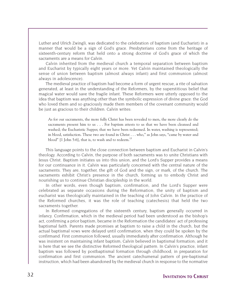Luther and Ulrich Zwingli, was dedicated to the celebration of baptism (and Eucharist) in a manner that would be a sign of God's grace. Presbyterians come from the heritage of sixteenth-century reform that held onto a strong doctrine of God's grace of which the sacraments are a means for Calvin.

Calvin inherited from the medieval church a temporal separation between baptism and Eucharist by typically eight years or more. Yet Calvin maintained theologically the sense of union between baptism (almost always infant) and first communion (almost always in adolescence).

The medieval practice of baptism had become a form of urgent rescue, a rite of salvation generated, at least in the understanding of the Reformers, by the superstitious belief that magical water would save the fragile infant. These Reformers were utterly opposed to the idea that baptism was anything other than the symbolic expression of divine grace: the God who loved them and so graciously made them members of the covenant community would be just as gracious to their children. Calvin writes:

As for our sacraments, the more fully Christ has been revealed to men, the more clearly do the sacraments present him to us . . . For baptism attests to us that we have been cleansed and washed; the Eucharistic Supper, that we have been redeemed. In water, washing is represented; in blood, satisfaction. These two are found in Christ . . . who," as John says, "came by water and blood" [1 John 5:6], that is, to wash and to redeem. $^{13}$ 

This language points to the close connection between baptism and Eucharist in Calvin's theology. According to Calvin, the purpose of both sacraments was to unite Christians with Jesus Christ. Baptism initiates us into this union, and the Lord's Supper provides a means for our continuance in it. Calvin was particularly concerned with the central nature of the sacraments. They are, together, the gift of God and the sign, or mark, of the church. The sacraments exhibit Christ's presence in the church, forming us to embody Christ and nourishing us to continue Christian discipleship in the world.

In other words, even though baptism, confirmation, and the Lord's Supper were celebrated as separate occasions during the Reformation, the unity of baptism and eucharist was theologically maintained in the teaching of John Calvin. In the practice of the Reformed churches, it was the role of teaching (catechesis) that held the two sacraments together.

In Reformed congregations of the sixteenth century, baptism generally occurred in infancy. Confirmation, which in the medieval period had been understood as the bishop's act, confirming a prior baptism, became in the Reformation the candidates' act of professing baptismal faith. Parents made promises at baptism to raise a child in the church, but the actual baptismal vows were delayed until confirmation, when they could be spoken by the confirmand. First communion followed, usually immediately after confirmation. Although he was insistent on maintaining infant baptism, Calvin believed in baptismal formation; and it is here that we see the distinctive Reformed theological pattern. In Calvin's practice, infant baptism was followed by postbaptismal formation through childhood, in preparation for confirmation and first communion. The ancient catechumenal pattern of pre-baptismal instruction, which had been abandoned by the medieval church in response to the normative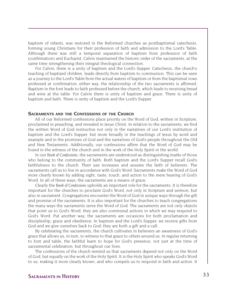baptism of infants, was restored in the Reformed churches as postbaptismal catechesis, forming young Christians for their profession of faith and admission to the Lord's Table. Although there was still a temporal separation of baptism from profession of faith (confirmation) and Eucharist, Calvin maintained the historic order of the sacraments, at the same time strengthening their integral theological connection.

For Calvin, there is a unity of baptism and the Lord's Supper. Catechesis, the church's teaching of baptized children, leads directly from baptism to communion. This can be seen as a journey to the Lord's Table from the actual waters of baptism or from the baptismal vows professed at confirmation; either way, the relationship of the two sacraments is affirmed. Baptism in the font leads to faith professed before the church, which leads to receiving bread and wine at the table. For Calvin there is unity of baptism and grace. There is unity of baptism and faith. There is unity of baptism and the Lord's Supper.

#### **SACRAMENTS AND THE CONFESSIONS OF THE CHURCH**

All of our Reformed confessions place priority on the Word of God, written in Scripture, proclaimed in preaching, and revealed in Jesus Christ. In relation to the sacraments, we find the written Word of God instructive not only in the narratives of our Lord's institution of baptism and the Lord's Supper, but more broadly in the teachings of Jesus by word and example and in the promises of God and the narratives of God's people throughout the Old and New Testaments. Additionally, our confessions affirm that the Word of God may be found in the witness of the church and in the work of the Holy Spirit in the world.

In our *Book of Confessions*, the sacraments are understood as distinguishing marks of those who belong to the community of faith. Both baptism and the Lord's Supper recall God's faithfulness to the church. Their use increases and assures the faith of believers. The sacraments call us to live in accordance with God's Word. Sacraments make the Word of God more clearly known by adding sight, taste, touch, and action to the mere hearing of God's Word. In all of these ways, the sacraments are a means of grace.

Clearly the *Book of Confessions* upholds an important role for the sacraments. It is therefore important for the churches to proclaim God's Word, not only in Scripture and sermon, but also in sacrament. Congregations encounter the Word of God in unique ways through the gift and promise of the sacraments. It is also important for the churches to teach congregations the many ways the sacraments serve the Word of God. The sacraments are not only objects that point us to God's Word, they are also communal actions in which we may respond to God's Word. Put another way, the sacraments are occasions for both proclamation and discipleship, grace and obedience. In baptism and the Lord's Supper, we receive gifts from God and we give ourselves back to God; they are both a gift and a call.

By celebrating the sacraments, the church cultivates in believers an awareness of God's grace that allows us, in turn, to witness to that grace to others around us. In regular returning to font and table, the faithful learn to hope for God's presence, not just at the time of sacramental celebration, but throughout our lives.

The confessions of the church remind us that sacraments depend not only on the Word of God, but equally on the work of the Holy Spirit. It is the Holy Spirit who speaks God's Word to us, making it more clearly known, and who compels us to respond in faith and action. It

### **Sacraments in History** 33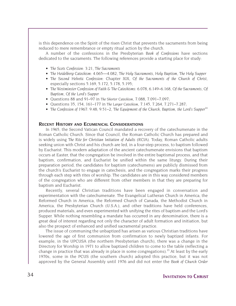is this dependence on the Spirit of the risen Christ that prevents the sacraments from being reduced to mere remembrance or empty ritual action by the church.

A number of the confessions in the Presbyterian *Book of Confessions* have sections dedicated to the sacraments. The following references provide a starting place for study:

- *The Scots Confession*: 3:21, *The Sacraments*
- *The Heidelberg Catechism*: 4.065—4.082, *The Holy Sacraments, Holy Baptism, The Holy Supper*
- *The Second Helvetic Confession*: Chapter XIX, *Of the Sacraments of the Church of Christ*, especially sections 5.169, 5.172, 5.178, 5.195;
- *The Westminster Confession of Faith & The Catechisms*: 6.078, 6.149–6.168, *Of the Sacraments, Of Baptism, Of the Lord's Supper*
- Questions 88 and 91–97 in *The Shorter Catechism*, 7.088, 7.091–7.097;
- Questions 35, 154, 161–177 in *The Larger Catechism*, 7.145, 7.264, 7.271–7.287;
- *The Confession of 1967*: 9.48; 9.51–2, *The Equipment of the Church*, *Baptism*, *the Lord's Supper*<sup>14</sup>

#### **RECENT HISTORY AND ECUMENICAL CONSIDERATIONS**

In 1965, the Second Vatican Council mandated a recovery of the catechumenate in the Roman Catholic Church. Since that Council, the Roman Catholic Church has prepared and is widely using *The Rite for Christian Initiation of Adults* (*RCIA*). Today, Roman Catholic adults seeking union with Christ and his church are led, in a four-step process, to baptism followed by Eucharist. This modern adaptation of the ancient catechumenate envisions that baptism occurs at Easter, that the congregation be involved in the entire baptismal process, and that baptism, confirmation, and Eucharist be unified within the same liturgy. During their preparation period, the candidates for baptism (catechumens) are publicly dismissed from the church's Eucharist to engage in catechesis, and the congregation marks their progress through each step with rites of worship. The candidates are in this way considered members of the congregation who are different from other members in that they are preparing for baptism and Eucharist.

Recently, several Christian traditions have been engaged in conversation and experimentation with the catechumenate. The Evangelical Lutheran Church in America, the Reformed Church in America, the Reformed Church of Canada, the Methodist Church in America, the Presbyterian Church (U.S.A.), and other traditions have held conferences, produced materials, and even experimented with unifying the rites of baptism and the Lord's Supper. While nothing resembling a mandate has occurred in any denomination, there is a great deal of interest regarding not only the character of adult formation and initiation, but also the prospect of enhanced and unified sacramental practice.

The issue of communing the unbaptized has arisen as various Christian traditions have lowered the age of first communion from confirmation to newly baptized infants. For example, in the UPCUSA (the northern Presbyterian church), there was a change in the Directory for Worship in 1971 to allow baptized children to come to the table (reflecting a change in practice that was already in place in some congregations).<sup>15</sup> At least by the early 1970s, some in the PCUS (the southern church) adopted this practice, but it was not approved by the General Assembly until 1976 and did not enter the *Book of Church Order*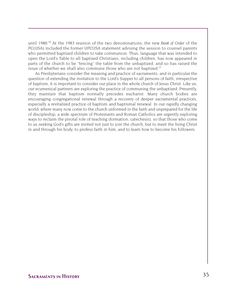until 1980.<sup>16</sup> At the 1983 reunion of the two denominations, the new *Book of Order* of the PC(USA) included the former UPCUSA statement advising the session to counsel parents who permitted baptized children to take communion. Thus, language that was intended to open the Lord's Table to all baptized Christians, including children, has now appeared in parts of the church to be "fencing" the table from the unbaptized, and so has raised the issue of whether we shall also commune those who are not baptized.<sup>17</sup>

As Presbyterians consider the meaning and practice of sacraments, and in particular the question of extending the invitation to the Lord's Supper to all persons of faith, irrespective of baptism, it is important to consider our place in the whole church of Jesus Christ. Like us, our ecumenical partners are exploring the practice of communing the unbaptized. Presently, they maintain that baptism normally precedes eucharist. Many church bodies are encouraging congregational renewal through a recovery of deeper sacramental practices, especially a revitalized practice of baptism and baptismal renewal. In our rapidly changing world, where many now come to the church unformed in the faith and unprepared for the life of discipleship, a wide spectrum of Protestants and Roman Catholics are urgently exploring ways to reclaim the pivotal role of teaching (formation, catechesis), so that those who come to us seeking God's gifts are invited not just to join the church, but to meet the living Christ in and through his body, to profess faith in him, and to learn how to become his followers.

### **Sacraments in History** 35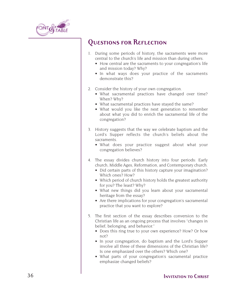

### **Questions for Reflection**

- 1. During some periods of history, the sacraments were more central to the church's life and mission than during others.
	- How central are the sacraments to your congregation's life and mission today? Why?
	- In what ways does your practice of the sacraments demonstrate this?
- 2. Consider the history of your own congregation.
	- What sacramental practices have changed over time? When? Why?
	- What sacramental practices have stayed the same?
	- What would you like the next generation to remember about what you did to enrich the sacramental life of the congregation?
- 3. History suggests that the way we celebrate baptism and the Lord's Supper reflects the church's beliefs about the sacraments.
	- What does your practice suggest about what your congregation believes?
- 4. The essay divides church history into four periods: Early church, Middle Ages, Reformation, and Contemporary church.
	- Did certain parts of this history capture your imagination? Which ones? How?
	- Which period of church history holds the greatest authority for you? The least? Why?
	- What new things did you learn about your sacramental heritage from the essay?
	- Are there implications for your congregation's sacramental practice that you want to explore?
- 5. The first section of the essay describes conversion to the Christian life as an ongoing process that involves "changes in belief, belonging, and behavior."
	- Does this ring true to your own experience? How? Or how not?
	- In your congregation, do baptism and the Lord's Supper involve all three of these dimensions of the Christian life? Is one emphasized over the others? Which one?
	- What parts of your congregation's sacramental practice emphasize changed beliefs?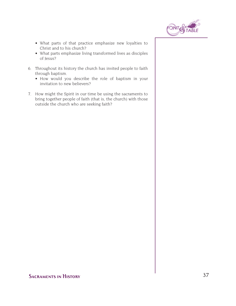

- What parts of that practice emphasize new loyalties to Christ and to his church?
- What parts emphasize living transformed lives as disciples of Jesus?
- 6. Throughout its history the church has invited people to faith through baptism.
	- How would you describe the role of baptism in your invitation to new believers?
- 7. How might the Spirit in our time be using the sacraments to bring together people of faith (that is, the church) with those outside the church who are seeking faith?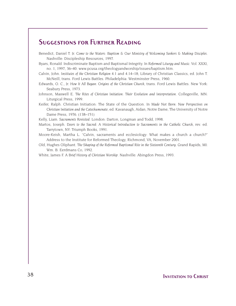### **Suggestions for Further Reading**

- Benedict, Daniel T. Jr. *Come to the Waters: Baptism & Our Ministry of Welcoming Seekers & Making Disciples*. Nashville: Discipleship Resources, 1997.
- Byars, Ronald. Indiscriminate Baptism and Baptismal Integrity. In *Reformed Liturgy and Music*: Vol. XXXI, no. 1, 1997, 36–40. www.pcusa.org/theologyandworship/issues/baptism.htm.
- Calvin, John. *Institutes of the Christian Religion* 4.1 and 4.14–18; Library of Christian Classics, ed. John T. McNeill, trans. Ford Lewis Battles. Philadelphia: Westminster Press, 1960.
- Edwards, O. C., Jr. *How It All Began: Origins of the Christian Church*, trans. Ford Lewis Battles. New York: Seabury Press, 1973.
- Johnson, Maxwell E. *The Rites of Christian Initiation: Their Evolution and Interpretation*. Collegeville, MN: Liturgical Press, 1999.
- Keifer, Ralph. Christian Initiation: The State of the Question. In *Made Not Born: New Perspectives on Christian Initiation and the Catechumenate*, ed. Kavanaugh, Aidan, Notre Dame, The University of Notre Dame Press, 1976. (138–151)
- Kelly, Liam. *Sacraments Revisited*. London: Darton, Longman and Todd, 1998.
- Martos, Joseph. *Doors to the Sacred: A Historical Introduction to Sacraments in the Catholic Church*, rev. ed. Tarrytown, NY: Triumph Books, 1991.
- Moore-Keish, Martha L. "Calvin, sacraments and ecclesiology: What makes a church a church?" Address to the Institute for Reformed Theology, Richmond, VA, November 2001.
- Old, Hughes Oliphant. *The Shaping of the Reformed Baptismal Rite in the Sixteenth Century*. Grand Rapids, MI: Wm. B. Eerdmans Co, 1992.

White, James F. *A Brief History of Christian Worship*. Nashville: Abingdon Press, 1993.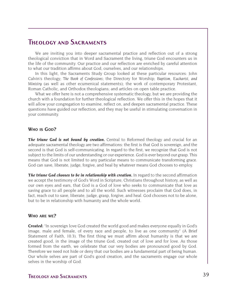### **Theology and Sacraments**

We are inviting you into deeper sacramental practice and reflection out of a strong theological conviction that in Word and Sacrament the living, triune God encounters us in the life of the community. Our practice and our reflection are enriched by careful attention to what our tradition affirms about God, ourselves, and our relationships.

In this light, the Sacraments Study Group looked at these particular resources: John Calvin's theology; *The Book of Confessions*; the Directory for Worship; *Baptism, Eucharist, and Ministry* (as well as other ecumenical statements); the work of contemporary Protestant, Roman Catholic, and Orthodox theologians; and articles on open table practice.

What we offer here is not a comprehensive systematic theology, but we are providing the church with a foundation for further theological reflection. We offer this in the hopes that it will allow your congregation to examine, reflect on, and deepen sacramental practice. These questions have guided our reflection, and they may be useful in stimulating conversation in your community.

### **WHO IS GOD?**

*The triune God is not bound by creation.* Central to Reformed theology and crucial for an adequate sacramental theology are two affirmations: the first is that God is sovereign, and the second is that God is self-communicating. In regard to the first, we recognize that God is not subject to the limits of our understanding or our experience. God is ever beyond our grasp. This means that God is not limited to any particular means to communicate transforming grace. God can save, liberate, judge, forgive, and heal by whatever means God chooses to employ.

*The triune God chooses to be in relationship with creation.* In regard to the second affirmation we accept the testimony of God's Word in Scripture, Christians throughout history, as well as our own eyes and ears, that God is a God of love who seeks to communicate that love as saving grace to all people and to all the world. Such witnesses proclaim that God does, in fact, reach out to save, liberate, judge, grasp, forgive, and heal. God chooses not to be alone, but to be in relationship with humanity and the whole world.

#### **WHO ARE WE?**

*Created:* "In sovereign love God created the world good and makes everyone equally in God's image, male and female, of every race and people, to live as one community" (A Brief Statement of Faith, 10.3). The first thing we must affirm about humanity is that we are created good, in the image of the triune God, created out of love and for love. As those formed from the earth, we celebrate that our very bodies are pronounced good by God. Therefore we need not hide or deny that our bodies are a fundamental part of being human. Our whole selves are part of God's good creation, and the sacraments engage our whole selves in the worship of God.

### **Theology and Sacraments** 39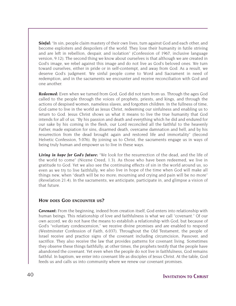**Sinful:** "In sin, people claim mastery of their own lives, turn against God and each other, and become exploiters and despoilers of the world. They lose their humanity in futile striving and are left in rebellion, despair, and isolation" (Confession of 1967, inclusive language version, 9.12). The second thing we know about ourselves is that although we are created in God's image, we rebel against this image and do not live as God's beloved ones. We turn toward ourselves, either in pride or in self-contempt, and away from God. As a result, we deserve God's judgment. We sinful people come to Word and Sacrament in need of redemption, and in the sacraments we encounter and receive reconciliation with God and one another.

*Redeemed:* Even when we turned from God, God did not turn from us. Through the ages God called to the people through the voices of prophets, priests, and kings, and through the actions of despised women, nameless slaves, and forgotten children. In the fullness of time, God came to live in the world as Jesus Christ, redeeming our sinfulness and enabling us to return to God. Jesus Christ shows us what it means to live the true humanity that God intends for all of us. "By his passion and death and everything which he did and endured for our sake by his coming in the flesh, our Lord reconciled all the faithful to the heavenly Father, made expiation for sins, disarmed death, overcame damnation and hell, and by his resurrection from the dead brought again and restored life and immortality" (Second Helvetic Confession, 5.076). By joining us to Christ, the sacraments engage us in ways of being truly human and empower us to live in these ways.

*Living in hope for God's future:* "We look for the resurrection of the dead, and the life of the world to come" (Nicene Creed, 1.3). As those who have been redeemed, we live in gratitude to God. Yet we also see the continuing effects of sin in the world around us, so even as we try to live faithfully, we also live in hope of the time when God will make all things new, when "death will be no more; mourning and crying and pain will be no more" (Revelation 21:4). In the sacraments, we anticipate, participate in, and glimpse a vision of that future.

### **HOW DOES GOD ENCOUNTER US?**

*Covenant:* From the beginning, indeed from creation itself, God enters into relationship with human beings. This relationship of love and faithfulness is what we call "covenant." Of our own accord, we do not have the means to establish a relationship with God, but because of God's "voluntary condescension," we receive divine promises and are enabled to respond (Westminster Confession of Faith, 6.037). Throughout the Old Testament, the people of Israel receive and practice signs of the covenant including circumcision, Passover, and sacrifice. They also receive the law that provides patterns for covenant living. Sometimes they observe these things faithfully; at other times, the prophets testify that the people have abandoned the covenant. Yet even when the people do not live in faithfulness, God remains faithful. In baptism, we enter into covenant life as disciples of Jesus Christ. At the table, God feeds us and calls us into community where we renew our covenant promises.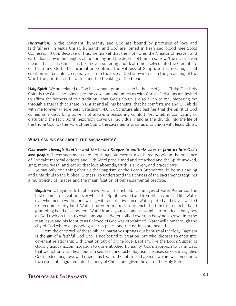*Incarnation:* In the covenant, humanity and God are bound by promises of love and faithfulness. In Jesus Christ, humanity and God are joined in flesh and blood (see Scots Confession 3.06). Because of this, we marvel that the Holy One, the Creator of heaven and earth, has known the heights of human joy and the depths of human sorrow. The incarnation means that Jesus Christ has taken even suffering and death themselves into the eternal life of the triune God. The incarnation confirms the witness of Scripture that nothing in all creation will be able to separate us from the love of God known to us in the preaching of the Word, the pouring of the water, and the breaking of the bread.

**Holy Spirit:** We are related to God in covenant promises and in the life of Jesus Christ. The Holy Spirit is the One who joins us to the covenant and unites us with Christ. Christians are invited to affirm the witness of our tradition: "that God's Spirit is also given to me, preparing me through a true faith to share in Christ and all his benefits, that he comforts me and will abide with me forever" (Heidelberg Catechism, 4.053). Scripture also testifies that the Spirit of God comes as a disturbing power, not always a reassuring comfort. Yet whether comforting or disturbing, the Holy Spirit inexorably draws us, individually and as the church, into the life of the triune God. By the work of the Spirit, the sacraments draw us into union with Jesus Christ.

#### **WHAT CAN WE SAY ABOUT THE SACRAMENTS?**

*God works through Baptism and the Lord's Supper in multiple ways to form us into God's own people.* These sacraments are not things but events: a gathered people in the presence of God take material objects and with Word proclaimed and preached and the Spirit invoked, sing, move, wash, and eat so that love abounds, truth is spoken, and grace flows.

To say only one thing about either baptism or the Lord's Supper would be misleading and unfaithful to the biblical witness. To understand the richness of the sacraments requires a multiplicity of images and the magnification of our sacramental practice.

*Baptism:* To begin with, baptism evokes all the rich biblical images of water. Water was the first element of creation, over which the Spirit hovered and from which came all life. Water overwhelmed a world gone wrong with destructive force. Water parted and slaves walked to freedom on dry land. Water flowed from a rock to quench the thirst of a parched and grumbling band of wanderers. Water from a young woman's womb surrounded a baby boy as God took on flesh to dwell among us. Water spilled over this baby now grown into the man Jesus and his identity as Beloved of God was proclaimed. Water will flow through the city of God where all people gather in peace and the nations are healed.

From the deep well of these biblical narratives springs our baptismal theology. Baptism is the gift of a faithful God who is not bound to creation, but who chooses to enter into covenant relationship with creation out of divine love. Baptism, like the Lord's Supper, is God's gracious accommodation to our embodied humanity, God's approach to us in ways that we not only can hear, but can see, feel, and taste. Baptism cleanses us of sin, signifies God's redeeming love, and orients us toward the future. In baptism, we are welcomed into the covenant, engrafted into the body of Christ, and given the gift of the Holy Spirit.

### **Theology and Sacraments** 41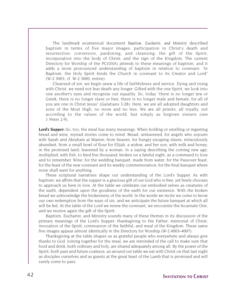The landmark ecumenical document *Baptism, Eucharist, and Ministr*y described baptism in terms of five major images: participation in Christ's death and resurrection; conversion, pardoning, and cleansing; the gift of the Spirit; incorporation into the body of Christ; and the sign of the Kingdom. The current Directory for Worship of the PC(USA) attends to these meanings of baptism, and it adds a more pronounced understanding of baptism in relation to covenant: "In Baptism, the Holy Spirit binds the Church in covenant to its Creator and Lord" (W-2.3003; cf. W-2.3000, entire).

Cleansed of sin, we begin anew a life of faithfulness and service. Dying and rising with Christ, we need not fear death any longer. Gifted with the one Spirit, we look into one another's eyes and recognize our equality. So, today "there is no longer Jew or Greek, there is no longer slave or free, there is no longer male and female; for all of you are one in Christ Jesus" (Galatians 3:28). Here, we are all adopted daughters and sons of the Most High, no more and no less. We are all priests, all royalty, not according to the values of the world, but simply as forgiven sinners (see 1 Peter 2:9).

*Lord's Supper:* So, too, the meal has many meanings. When holding or smelling or ingesting bread and wine, myriad stories come to mind. Bread: unleavened, for angels who sojourn with Sarah and Abraham at Mamre; from heaven, for hungry escaping slaves; miraculously abundant, from a small bowl of flour for Elijah, a widow, and her son; with milk and honey, in the promised land; leavened by a woman, in a saying describing the coming new age; multiplied, with fish, to feed five thousand; broken on a fateful night, as a command to love and to remember. Wine: for the wedding banquet, made from water; for the Passover feast; for the feast of the new covenant and its weekly commemoration; for the final banquet where none shall want for anything.

These scriptural narratives shape our understanding of the Lord's Supper. As with baptism, we affirm that the supper is a gracious gift of our God who is free, yet freely chooses to approach us here in love. At the table we celebrate our embodied selves as creatures of the earth, dependent upon the goodness of the earth for our existence. With the broken bread we acknowledge the brokenness of the world. In the words we recite we come to know our own redemption from the ways of sin, and we anticipate the future banquet at which all will be fed. At the table of the Lord we renew the covenant, we encounter the Incarnate One, and we receive again the gift of the Spirit.

Baptism, Eucharist, and Ministry sounds many of these themes in its discussion of the primary meanings of the Lord's Supper: thanksgiving to the Father; memorial of Christ; invocation of the Spirit; communion of the faithful; and meal of the Kingdom. These same five images appear almost identically in the Directory for Worship (W-2.4003–4007).

Thanksgiving at the table shapes us as grateful people who everywhere and always give thanks to God. Joining together for the meal, we are reminded of the call to make sure that food and drink, both ordinary and holy, are shared adequately among all. By the power of the Spirit, both past and future coalesce, as around our table we eat with Christ on that last night as disciples ourselves and as guests at the great feast of the Lamb that is promised and will surely come to pass.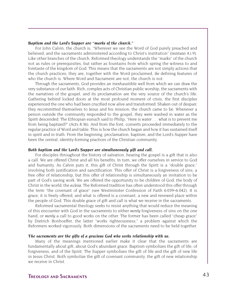#### *Baptism and the Lord's Supper are "marks of the church."*

For John Calvin, the church is, "Wherever we see the Word of God purely preached and believed, and the sacraments administered according to Christ's institution" (*Institutes* 4,i.9). Like other branches of the church, Reformed theology understands the "marks" of the church not as rules or prerequisites, but rather as fountains from which spring the witness to and foretaste of the kingdom of God. This means that the sacraments are not simply actions that the church practices; they are, together with the Word proclaimed, *the* defining features of who the church is. Where Word and Sacrament are not, the church is not.

Through the sacraments, God provides an inexhaustible well from which we can draw the very substance of our faith. Rich, complex acts of Christian public worship, the sacraments with the narratives of the gospel, and its proclamation are the very source of the church's life. Gathering behind locked doors at the most profound moment of crisis, the first disciples experienced the one who had been crucified now alive and transformed. Shaken out of despair, they recommitted themselves to Jesus and his mission; the church came to be. Whenever a person outside the community responded to the gospel, they were washed in water as the Spirit descended. The Ethiopian eunuch said to Philip, "Here is water . . . what is to prevent me from being baptized?" (Acts 8:36). And from the font, converts proceeded immediately to the regular practice of Word and table. This is how the church began and how it has sustained itself in spirit and in truth. From the beginning, proclamation, baptism, and the Lord's Supper have been the central, identity-forming practices of the Christian community.

#### *Both baptism and the Lord's Supper are simultaneously gift and call.*

For disciples throughout the history of salvation, hearing the gospel is a gift that is also a call. We are offered Christ and all his benefits. In turn, we offer ourselves in service to God and humanity. As Calvin puts it, this gift of Christ through the Spirit is a "double grace," involving both justification and sanctification. This offer of Christ is a forgiveness of sins, a free offer of relationship, but this offer of relationship is simultaneously an invitation to be part of God's saving work. We are offered the opportunity to be children of God, the body of Christ in the world, the *ecclesia*. The Reformed tradition has often understood this offer through the term "the covenant of grace" (see Westminster Confession of Faith 6.039–6.042). It is grace, it is freely offered, and what is offered is a covenant, a new and renewed place within the people of God. This double grace of gift and call is what we receive in the sacraments.

Reformed sacramental theology seeks to resist anything that would reduce the meaning of this encounter with God in the sacraments to either *merely* forgiveness of sins on the one hand, or *merely* a call to good works on the other. The former has been called "cheap grace" by Dietrich Bonhoeffer, the latter "works righteousness," a problem against which the Reformers worked vigorously. Both dimensions of the sacraments need to be held together.

#### *The sacraments are the gifts of a gracious God who seeks relationship with us.*

Many of the meanings mentioned earlier make it clear that the sacraments are fundamentally about gift, about God's abundant grace. Baptism symbolizes the gift of life, of forgiveness, and of the Spirit. The Supper symbolizes the gift of life and the gift of new life in Jesus Christ. Both symbolize the gift of covenant community, the gift of new relationship we receive in Christ.

### **Theology and Sacraments** 43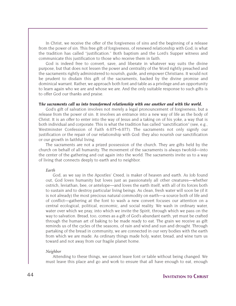In Christ, we receive the offer of the forgiveness of sins and the beginning of a release from the power of sin. This free gift of forgiveness, of renewed relationship with God, is what the tradition has called "justification." Both baptism and the Lord's Supper witness and communicate this justification to those who receive them in faith.

God is indeed free to convert, save, and liberate in whatever way suits the divine purpose, but that does not lessen the power and centrality of the Word rightly preached and the sacraments rightly administered to nourish, guide, and empower Christians. It would not be prudent to disdain this gift of the sacraments, backed by the divine promise and dominical warrant. Rather, we approach both font and table as a privilege and an opportunity to learn again who we are and whose we are. And the only suitable response to such gifts is to offer God our thanks and praise.

#### *The sacraments call us into transformed relationship with one another and with the world.*

God's gift of salvation involves not merely a legal pronouncement of forgiveness, but a release from the power of sin. It involves an entrance into a new way of life as the body of Christ. It is an offer to enter into the way of Jesus and a taking on of his yoke, a way that is both individual and corporate. This is what the tradition has called "sanctification" (see, e.g., Westminster Confession of Faith 6.075–6.077). The sacraments not only signify our justification or the repair of our relationship with God: they also nourish our sanctification or our growth in faithful living.

The sacraments are not a prized possession of the church. They are gifts held by the church on behalf of all humanity. The movement of the sacraments is always twofold—into the center of the gathering and out again into the world. The sacraments invite us to a way of living that connects deeply to earth and to neighbor.

#### *Earth*

God, as we say in the Apostles' Creed, is maker of heaven and earth. As Job found out, God loves humanity but loves just as passionately all other creatures—whether ostrich, leviathan, bee, or antelope—and loves the earth itself, with all of its forces both to sustain and to destroy particular living beings. As clean, fresh water will soon be (if it is not already) the most precious natural commodity on earth—a source both of life and of conflict—gathering at the font to wash a new convert focuses our attention on a central ecological, political, economic, and social reality. We wash in ordinary water, water over which we pray, into which we invite the Spirit, through which we pass on the way to salvation. Bread, too, comes as a gift of God's abundant earth, yet must be crafted through the human art of baking to be made ready to eat. The grain we receive as gift reminds us of the cycles of the seasons, of rain and wind and sun and drought. Through partaking of the bread in community, we are connected in our very bodies with the earth from which we are made. As ordinary things made holy, water, bread, and wine turn us toward and not away from our fragile planet home.

#### *Neighbor*

Attending to these things, we cannot leave font or table without being changed. We must leave this place and go and work to ensure that all have enough to eat, enough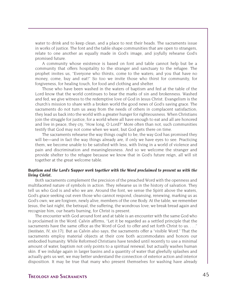water to drink and to keep clean, and a place to rest their heads. The sacraments issue in works of justice. The font and the table shape communities that are open to strangers, relate to one another as equally made in God's image, and joyfully rehearse God's promised future.

A community whose existence is based on font and table cannot help but be a community that offers hospitality to the stranger and sanctuary to the refugee. The prophet invites us, "Everyone who thirsts, come to the waters; and you that have no money, come, buy and eat!" So too we invite those who thirst for community, for forgiveness, for healing touch, for food and clothing and shelter.

Those who have been washed in the waters of baptism and fed at the table of the Lord know that the world continues to bear the marks of sin and brokenness. Washed and fed, we give witness to the redemptive love of God in Jesus Christ. Evangelism is the church's mission to share with a broken world the good news of God's saving grace. The sacraments do not turn us away from the needs of others in complacent satisfaction; they lead us back into the world with a greater hunger for righteousness. When Christians join the struggle for justice, for a world where all have enough to eat and all are honored and live in peace, they cry, "How long, O Lord?" More often than not, such communities testify that God may not come when we want, but God gets there on time.

The sacraments rehearse the way things ought to be, the way God has promised they will be—and in fact the way things already are, if only we have eyes to see. Practicing them, we become unable to be satisfied with less, with living in a world of violence and pain and discrimination and meaninglessness. And so we welcome the stranger and provide shelter to the refugee because we know that in God's future reign, all will sit together at the great welcome table.

#### *Baptism and the Lord's Supper work together with the Word proclaimed to present us with the living Christ.*

Both sacraments complement the precision of the preached Word with the openness and multifaceted nature of symbols in action. They rehearse us in the history of salvation. They tell us who God is and who we are. Around the font, we sense the Spirit above the waters, God's grace seeking out even those who cannot respond, cleansing, renewing, marking us as God's own; we are forgiven, newly alive, members of the one Body. At the table, we remember Jesus, the last night, the betrayal, the suffering, the wondrous love; we break bread again and recognize him, our hearts burning, for Christ is present.

The encounter with God around font and at table is an encounter with the same God who is proclaimed in the Word. Calvin affirms, "Let it be regarded as a settled principle that the sacraments have the same office as the Word of God: to offer and set forth Christ to us. . . ." [*Institutes*, IV, xiv.17]. But as Calvin also says, the sacraments offer a "visible Word." That the sacraments employ material objects at their core both accommodates and honors our embodied humanity. While Reformed Christians have tended until recently to use a minimal amount of water, baptism not only points to a spiritual renewal, but actually washes human skin. If we indulge again in larger basins and a quantity of water that gleefully splashes and actually gets us wet, we may better understand the connection of exterior action and interior disposition. It may be true that many who present themselves for washing have already

### **Theology and Sacraments** 45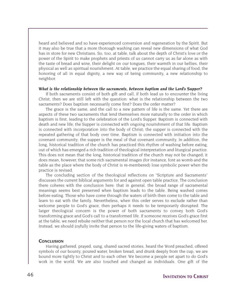heard and believed and so have experienced conversion and regeneration by the Spirit. But it may also be true that a more thorough washing can reveal new dimensions of what God has in store for new Christians. So, too, at table, talk about the depth of Christ's love or the power of the Spirit to make prophets and priests of us cannot carry us as far alone as with the taste of bread and wine, their delight on our tongues, their warmth in our bellies, their physical as well as spiritual nourishment. At table, we practice the equal sharing of food, the honoring of all in equal dignity, a new way of being community, a new relationship to neighbor.

#### *What is the relationship between the sacraments, between baptism and the Lord's Supper?*

If both sacraments consist of both gift and call, if both lead us to encounter the living Christ, then we are still left with the question: what is the relationship between the two sacraments? Does baptism necessarily come first? Does the order matter?

The grace is the same, and the call to a new pattern of life is the same. Yet there are aspects of these two sacraments that lend themselves more naturally to the order in which baptism is first, leading to the celebration of the Lord's Supper. Baptism is connected with death and new life; the Supper is connected with ongoing nourishment of that life. Baptism is connected with incorporation into the body of Christ; the supper is connected with the repeated gathering of that body over time. Baptism is connected with initiation into the covenant community; the supper is the meal of that covenant community. In addition, the long, historical tradition of the church has practiced this rhythm of washing before eating, out of which has emerged a rich tradition of theological interpretation and liturgical practice. This does not mean that the long, historical tradition of the church may not be changed; it does mean, however, that some rich sacramental images (for instance, font as womb and the table as the place where the body of Christ is re-membered) lose symbolic power when the practice is revised.

The concluding section of the theological reflections on "Scripture and Sacraments" discusses the current biblical arguments for and against open table practice. The conclusion there coheres with the conclusion here: that in general, the broad range of sacramental meanings seems best preserved when baptism leads to the table. Being washed comes before eating. Those who have come through the waters of birth then come to the table and learn to eat with the family. Nevertheless, when this order serves to exclude rather than welcome people to God's grace, then perhaps it needs to be temporarily disrupted. The larger theological concern is the power of both sacraments to convey both God's transforming grace and God's call to a transformed life. If someone receives God's grace first at the table, we need rebuke neither that person nor the local church that has welcomed her. Instead, we should joyfully invite that person to the life-giving waters of baptism.

#### **CONCLUSION**

Having gathered, prayed, sung, shared sacred stories, heard the Word preached, offered symbols of our bounty, poured water, broken bread, and drunk deeply from the cup, we are bound more tightly to Christ and to each other. We become a people set apart to do God's work in the world. We are also touched and changed as individuals. One gift of the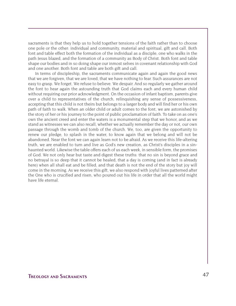sacraments is that they help us to hold together tensions of the faith rather than to choose one pole or the other: individual and community, material and spiritual, gift and call. Both font and table effect both the formation of the individual as a disciple, one who walks in the path Jesus blazed, and the formation of a community as Body of Christ. Both font and table shape our bodies and in so doing shape our inmost selves in covenant relationship with God and one another. Both font and table are both gift and call.

In terms of discipleship, the sacraments communicate again and again the good news that we are forgiven, that we are loved, that we have nothing to fear. Such assurances are not easy to grasp. We forget. We refuse to believe. We despair. And so regularly we gather around the font to hear again the astounding truth that God claims each and every human child without requiring our prior acknowledgment. On the occasion of infant baptism, parents give over a child to representatives of the church, relinquishing any sense of possessiveness, accepting that this child is not theirs but belongs to a larger body and will find her or his own path of faith to walk. When an older child or adult comes to the font, we are astonished by the story of her or his journey to the point of public proclamation of faith. To take on as one's own the ancient creed and enter the waters is a monumental step that we honor, and as we stand as witnesses we can also recall, whether we actually remember the day or not, our own passage through the womb and tomb of the church. We, too, are given the opportunity to renew our pledge, to splash in the water, to know again that we belong and will not be abandoned. Near the font we can again learn not to be afraid. As we receive this life-altering truth, we are enabled to turn and live as God's new creation, as Christ's disciples in a sinhaunted world. Likewise the table offers each of us each week, in sensible form, the promises of God. We not only hear but taste and digest these truths: that no sin is beyond grace and no betrayal is so deep that it cannot be healed, that a day is coming (and in fact is already here) when all shall eat and be filled, and that death is not the end of the story but joy will come in the morning. As we receive this gift, we also respond with joyful lives patterned after the One who is crucified and risen, who poured out his life in order that all the world might have life eternal.

### **Theology and Sacraments** 47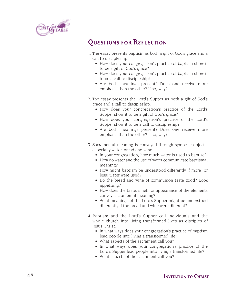

### **Questions for Reflection**

- 1. The essay presents baptism as both a gift of God's grace and a call to discipleship.
	- How does your congregation's practice of baptism show it to be a gift of God's grace?
	- How does your congregation's practice of baptism show it to be a call to discipleship?
	- Are both meanings present? Does one receive more emphasis than the other? If so, why?
- 2. The essay presents the Lord's Supper as both a gift of God's grace and a call to discipleship.
	- How does your congregation's practice of the Lord's Supper show it to be a gift of God's grace?
	- How does your congregation's practice of the Lord's Supper show it to be a call to discipleship?
	- Are both meanings present? Does one receive more emphasis than the other? If so, why?
- 3. Sacramental meaning is conveyed through symbolic objects, especially water, bread and wine.
	- In your congregation, how much water is used to baptize?
	- How do water and the use of water communicate baptismal meaning?
	- How might baptism be understood differently if more (or less) water were used?
	- Do the bread and wine of communion taste good? Look appetizing?
	- How does the taste, smell, or appearance of the elements convey sacramental meaning?
	- What meanings of the Lord's Supper might be understood differently if the bread and wine were different?
- 4. Baptism and the Lord's Supper call individuals and the whole church into living transformed lives as disciples of Jesus Christ.
	- In what ways does your congregation's practice of baptism lead people into living a transformed life?
	- What aspects of the sacrament call you?
	- In what ways does your congregation's practice of the Lord's Supper lead people into living a transformed life?
	- What aspects of the sacrament call you?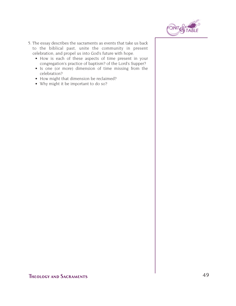

- 5. The essay describes the sacraments as events that take us back to the biblical past, unite the community in present celebration, and propel us into God's future with hope.
	- How is each of these aspects of time present in your congregation's practice of baptism? of the Lord's Supper?
	- Is one (or more) dimension of time missing from the celebration?
	- How might that dimension be reclaimed?
	- Why might it be important to do so?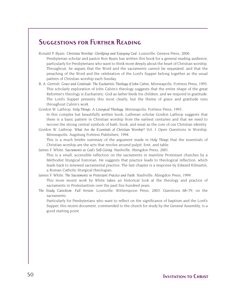### **Suggestions for Further Reading**

Ronald P. Byars. *Christian Worship: Glorifying and Enjoying God*. Louisville: Geneva Press, 2000.

Presbyterian scholar and pastor Ron Byars has written this book for a general reading audience, particularly for Presbyterians who want to think more deeply about the heart of Christian worship. Throughout, he argues that the Word and the sacraments cannot be separated, and that the preaching of the Word and the celebration of the Lord's Supper belong together as the usual pattern of Christian worship each Sunday.

- B. A. Gerrish. *Grace and Gratitude: The Eucharistic Theology of John Calvin*, Minneapolis: Fortress Press, 1993. This scholarly exploration of John Calvin's theology suggests that the entire shape of the great Reformer's theology is Eucharistic: God as father feeds his children, and we respond in gratitude. The Lord's Supper presents this most clearly, but the theme of grace and gratitude runs throughout Calvin's work.
- Gordon W. Lathrop. *Holy Things: A Liturgical Theology*. Minneapolis: Fortress Press, 1993.

In this complex but beautifully written book, Lutheran scholar Gordon Lathrop suggests that there is a basic pattern in Christian worship from the earliest centuries and that we need to recover the strong central symbols of bath, book, and meal as the core of our Christian identity.

Gordon W. Lathrop. *What Are the Essentials of Christian Worship?* Vol. 1 Open Questions in Worship. Minneapolis: Augsburg Fortress Publishers, 1994.

This is a much briefer summary of the argument made in *Holy Things* that the essentials of Christian worship are the acts that revolve around pulpit, font, and table.

James F. White. *Sacraments as God's Self-Giving*. Nashville: Abingdon Press, 2001.

This is a small, accessible reflection on the sacraments in mainline Protestant churches by a Methodist liturgical historian. He suggests that practice leads to theological reflection, which leads back to renewed sacramental practice. The last chapter is a response by Edward Kilmartin, a Roman Catholic liturgical theologian.

James F. White. *The Sacraments in Protestant Practice and Faith*. Nashville: Abingdon Press, 1999.

This more recent work by White takes an historical look at the theology and practice of sacraments in Protestantism over the past five hundred years.

*The Study Catechism: Full Version*. Louisville: Witherspoon Press, 2003. Questions 68–79, on the sacraments.

Particularly for Presbyterians who want to reflect on the significance of baptism and the Lord's Supper, this recent document, commended to the church for study by the General Assembly, is a good starting point.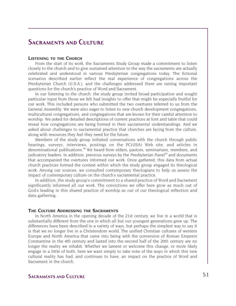### **Sacraments and Culture**

#### **LISTENING TO THE CHURCH**

From the start of its work, the Sacraments Study Group made a commitment to listen closely to the church and to give sustained attention to the way the sacraments are actually celebrated and understood in various Presbyterian congregations today. The fictional scenarios described earlier reflect the real experience of congregations across the Presbyterian Church (U.S.A.), and the challenges addressed there are raising important questions for the church's practice of Word and Sacrament.

In our listening to the church, the study group invited broad participation and sought particular input from those we felt had insights to offer that might be especially fruitful for our work. This included persons who submitted the two overtures referred to us from the General Assembly. We were also eager to listen to new church development congregations, multicultural congregations, and congregations that are known for their careful attention to worship. We asked for detailed descriptions of current practices at font and table that could reveal how congregations are being formed in their sacramental understandings. And we asked about challenges to sacramental practice that churches are facing from the culture, along with resources they feel they need for the future.

Members of the study group initiated conversations with the church through public hearings, surveys, interviews, postings on the PC(USA) Web site, and articles in denominational publications.<sup>18</sup> We heard from elders, pastors, seminarians, members, and judicatory leaders. In addition, previous surveys by the Presbyterian Panel<sup>19</sup> and documents that accompanied the overtures informed our work. Once gathered, this data from actual church practices formed the context within which the study group engaged its theological work. Among our sources, we consulted contemporary theologians to help us assess the impact of contemporary culture on the church's sacramental practice.

In addition, the study group's commitment to a shared practice of Word and Sacrament significantly informed all our work. The convictions we offer here grow as much out of God's leading in this shared practice of worship as out of our theological reflection and data gathering.

#### **THE CULTURE ADDRESSING THE SACRAMENTS**

In North America in the opening decade of the 21st century, we live in a world that is substantially different from the one in which all but our youngest generations grew up. The differences have been described in a variety of ways, but perhaps the simplest way to say it is that we no longer live in a Christendom world. The unified Christian cultures of western Europe and North America that came into being with the conversion of Roman Emperor Constantine in the 4th century and lasted into the second half of the 20th century are no longer the reality we inhabit. Whether we lament or welcome this change, or more likely engage in a little of both, here we want simply to take note of the ways in which this new cultural reality has had, and continues to have, an impact on the practice of Word and Sacrament in the church.

### **SACRAMENTS AND CULTURE** 51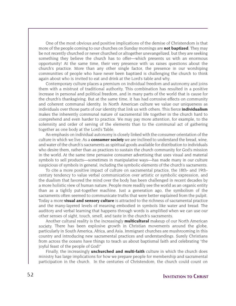One of the most obvious and positive implications of the demise of Christendom is that more of the people coming to our churches on Sunday mornings are **not baptized**. They may be not recently churched or never churched or altogether unevangelized, but they are seeking something they believe the church has to offer—which presents us with an enormous opportunity! At the same time, their very presence with us raises questions about the church's practice. More than any other single factor, the presence in our worshiping communities of people who have never been baptized is challenging the church to think again about who is invited to eat and drink at the Lord's table and why.

Contemporary culture places a premium on individual freedom and autonomy and joins them with a mistrust of traditional authority. This combination has resulted in a positive increase in personal and political freedom, and in many parts of the world that is cause for the church's thanksgiving. But at the same time, it has had corrosive effects on community and coherent communal identity. In North American culture we value our uniqueness as individuals over those parts of our identity that link us with others. This fierce **individualism** makes the inherently communal nature of sacramental life together in the church hard to comprehend and even harder to practice. We may pay more attention, for example, to the solemnity and order of serving of the elements than to the communal act of gathering together as one body at the Lord's Table.

An emphasis on individual autonomy is closely linked with the consumer orientation of the culture in which we live. As a **consumer society** we are inclined to understand the bread, wine, and water of the church's sacraments as spiritual goods available for distribution to individuals who desire them, rather than as practices to sustain the church community for God's mission in the world. At the same time pervasive consumer advertising that uses visual and material symbols to sell products—sometimes in manipulative ways—has made many in our culture suspicious of symbols in general, including the symbolic elements of the church's sacraments.

To cite a more positive impact of culture on sacramental practice, the 18th- and 19thcentury tendency to value verbal communication over artistic or symbolic expression, and the dualism that favored the mind over the body has been challenged in recent decades by a more holistic view of human nature. People more readily see the world as an organic entity than as a tightly put-together machine. Just a generation ago, the symbolism of the sacraments often seemed to communicate truths that were better explained from the pulpit. Today a more **visual and sensory culture** is attracted to the richness of sacramental practice and the many-layered levels of meaning embodied in symbols like water and bread. The auditory and verbal learning that happens through words is amplified when we can use our other senses of sight, touch, smell, and taste in the church's sacraments.

Another cultural reality is the increasingly **multicultural** makeup of our North American society. There has been explosive growth in Christian movements around the globe, particularly in South America, Africa, and Asia. Immigrant churches are mushrooming in this country and introducing new sacramental practices and understandings. Surely Christians from across the oceans have things to teach us about baptismal faith and celebrating "the joyful feast of the people of God!"

Finally, the increasingly **unchurched and multi-faith** culture in which the church does ministry has large implications for how we prepare people for membership and sacramental participation in the church. In the centuries of Christendom, the church could count on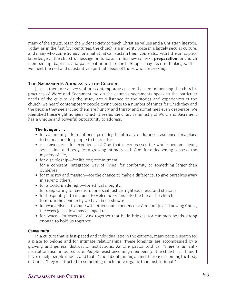many of the structures in the wider society to teach Christian values and a Christian lifestyle. Today, as in the first four centuries, the church is a minority voice in a largely secular culture, and many who come hungry for a faith that can sustain them come also with little or no prior knowledge of the church's message or its ways. In this new context, **preparation** for church membership, baptism, and participation in the Lord's Supper may need rethinking so that we meet the real and substantive spiritual needs of those who are seeking.

#### **THE SACRAMENTS ADDRESSING THE CULTURE**

Just as there are aspects of our contemporary culture that are influencing the church's practices of Word and Sacrament, so do the church's sacraments speak to the particular needs of the culture. As the study group listened to the stories and experiences of the church, we heard contemporary people giving voice to a number of things for which they and the people they see around them are hungry and thirsty and sometimes even desperate. We identified these eight hungers, which it seems the church's ministry of Word and Sacrament has a unique and powerful opportunity to address:

#### **The hunger . . .**

- for community—for relationships of depth, intimacy, endurance, resilience, for a place to belong, and for people to belong to;
- or conversion—for experience of God that encompasses the whole person—heart, soul, mind, and body, for a growing intimacy with God, for a deepening sense of the mystery of life;
- for discipleship—for lifelong commitment, for a coherent, integrated way of living, for conformity to something larger than ourselves;
- for ministry and mission—for the chance to make a difference, to give ourselves away in serving others;
- for a world made right—for ethical integrity. for deep caring for creation, for social justice, righteousness, and shalom;
- for hospitality—to include, to welcome others into the life of the church, to return the generosity we have been shown;
- for evangelism—to share with others our experience of God, our joy in knowing Christ, the ways Jesus' love has changed us;
- for peace—for ways of living together that build bridges, for common bonds strong enough to hold us together.

#### *Community*

In a culture that is fast-paced and individualistic in the extreme, many people search for a place to belong and for intimate relationships. These longings are accompanied by a growing and general distrust of institutions. As one pastor told us, "There is an antiinstitutionalism in our culture. People resist becoming members (of the church . . . I find I have to help people understand that it's not about joining an institution; it's joining the body of Christ. They're attracted to something much more organic than institutional."

### **SACRAMENTS AND CULTURE** 53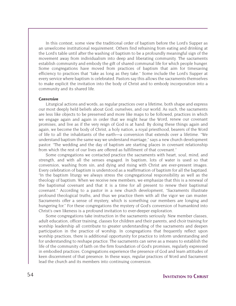In this context, some view the traditional order of baptism before the Lord's Supper as an unwelcome institutional requirement. Others find refraining from eating and drinking at the Lord's table until after the washing of baptism to be a profoundly meaningful sign of the movement away from individualism into deep and liberating community. The sacraments establish community and embody the gift of shared communal life for which people hunger. Some congregations have moved from practices of baptism that aim for timesaving efficiency to practices that "take as long as they take." Some include the Lord's Supper at every service where baptism is celebrated. Pastors say this allows the sacraments themselves to make explicit the invitation into the body of Christ and to embody incorporation into a community and its shared life.

#### *Conversion*

Liturgical actions and words, as regular practices over a lifetime, both shape and express our most deeply held beliefs about God, ourselves, and our world. As such, the sacraments are less like objects to be preserved and more like maps to be followed, practices in which we engage again and again in order that we might hear the Word, renew our covenant promises, and live as if the very reign of God is at hand. By doing these things again and again, we become the body of Christ, a holy nation, a royal priesthood, bearers of the Word of life to all the inhabitants of the earth—a conversion that extends over a lifetime. "We understand baptism the same way we understand marriage," says a new church development pastor. "The wedding and the day of baptism are starting places in covenant relationship from which the rest of our lives are offered as fulfillment of that covenant."

Some congregations we contacted practice the sacraments with heart, soul, mind, and strength, and with all the senses engaged. In baptism, lots of water is used so that conversion, washing from sin, and dying and rising with Christ are ever-present images. Every celebration of baptism is understood as a reaffirmation of baptism for all the baptized. "In the baptism liturgy we always stress the congregational responsibility as well as the theology of baptism. When we receive new members, we emphasize that this is a renewal of the baptismal covenant and that it is a time for all present to renew their baptismal covenant." According to a pastor in a new church development, "Sacraments illustrate profound theological truths, and thus we practice them with all the vigor we can muster. Sacraments offer a sense of mystery, which is something our members are longing and hungering for." For these congregations the mystery of God's conversion of humankind into Christ's own likeness is a profound invitation to ever-deeper exploration.

Some congregations take instruction in the sacraments seriously. New member classes, adult education, officer training, classes for children and their parents, and choir training for worship leadership all contribute to greater understanding of the sacraments and deepen participation in the practice of worship. In congregations that frequently reflect upon worship practices, there is additional opportunity for practice to inform understanding and for understanding to reshape practice. The sacraments can serve as a means to establish the life of the community of faith on the firm foundation of God's promises, regularly expressed in embodied practices. Congregations experience the presence of God and learn attitudes of keen discernment of that presence. In these ways, regular practices of Word and Sacrament lead the church and its members into continuing conversion.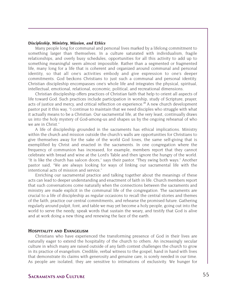#### *Discipleship, Ministry, Mission, and Ethics*

Many people long for communal and personal lives marked by a lifelong commitment to something larger than themselves. In a culture saturated with individualism, fragile relationships, and overly busy schedules, opportunities for all this activity to add up to something meaningful seem almost impossible. Rather than a segmented or fragmented life, many long for a life that is coherent and organized around communal and personal identity, so that all one's activities embody and give expression to one's deeper commitments. God beckons Christians to just such a communal and personal identity. Christian discipleship encompasses one's whole life and integrates the physical, spiritual, intellectual, emotional, relational, economic, political, and recreational dimensions.

Christian discipleship offers practices of Christian faith that help to orient all aspects of life toward God. Such practices include participation in worship, study of Scripture, prayer, acts of justice and mercy, and critical reflection on experience.<sup>20</sup> A new church development pastor put it this way, "I continue to maintain that we need disciples who struggle with what it actually means to be a Christian. Our sacramental life, at the very least, continually draws us into the holy mystery of God-among-us and shapes us by the ongoing rehearsal of who we are in Christ."

A life of discipleship grounded in the sacraments has ethical implications. Ministry within the church and mission outside the church's walls are opportunities for Christians to give themselves away for the sake of the world God loves, the same self-giving that is exemplified by Christ and enacted in the sacraments. In one congregation where the frequency of communion has increased, for example, members report that they cannot celebrate with bread and wine at the Lord's Table and then ignore the hungry of the world. "It is like the church has saloon doors," says their pastor. "They swing both ways." Another pastor said, "We are always looking for ways of linking our sacramental life with the intentional acts of mission and service."

Enriching our sacramental practice and talking together about the meanings of these acts can lead to deeper understanding and enactment of faith in life. Church members report that such conversations come naturally when the connections between the sacraments and ministry are made explicit in the communal life of the congregation. The sacraments are crucial to a life of discipleship as regular occasions to recall the central stories and themes of the faith, practice our central commitments, and rehearse the promised future. Gathering regularly around pulpit, font, and table we may yet become a holy people, going out into the world to serve the needy, speak words that sustain the weary, and testify that God is alive and at work doing a new thing and renewing the face of the earth.

#### **HOSPITALITY AND EVANGELISM**

Christians who have experienced the transforming presence of God in their lives are naturally eager to extend the hospitality of the church to others. An increasingly secular culture in which many are raised outside of any faith context challenges the church to grow in its practice of evangelism. Credible, verbal witness to the gospel, hand in hand with lives that demonstrate its claims with generosity and genuine care, is sorely needed in our time. As people are isolated, they are sensitive to intimations of exclusivity. We hunger for

### **SACRAMENTS AND CULTURE** 55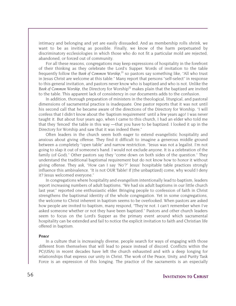intimacy and belonging and yet are easily dissuaded. And as membership rolls shrink, we want to be as inviting as possible. Finally, we know of the harm perpetuated by discriminatory ecclesiologies in which those who do not fit a particular mold are rejected, abandoned, or forced out of community.

For all these reasons, congregations may keep expressions of hospitality in the forefront of their thinking as they celebrate the Lord's Supper. Words of invitation to the table frequently follow the Book of Common Worship,<sup>21</sup> so pastors say something like, "All who trust in Jesus Christ are welcome at this table." Many report that persons "self-select" in response to this general invitation, and pastors never know who is baptized and who is not. Unlike the Book of Common Worship, the Directory for Worship<sup>22</sup> makes plain that the baptized are invited to the table. This apparent lack of consistency in our documents adds to the confusion.

In addition, thorough preparation of ministers in the theological, liturgical, and pastoral dimensions of sacramental practice is inadequate. One pastor reports that it was not until his second call that he became aware of the directions of the Directory for Worship. "I will confess that I didn't know about the 'baptism requirement' until a few years ago! I was never taught it. But about four years ago, when I came to this church, I had an elder who told me that they 'fenced' the table in this way —that you have to be baptized. I looked it up in the Directory for Worship and saw that it was indeed there."

Often leaders in the church seem both eager to extend evangelistic hospitality and anxious about giving offense. They find it difficult to imagine a generous middle ground between a completely "open table" and narrow restriction. "Jesus was not a legalist. I'm not going to slap it out of someone's hand. I would not exclude anyone. It is a celebration of the family (of God)." Other pastors say they "come down on both sides of the question." They understand the traditional baptismal requirement but do not know how to honor it without giving offense. They ask, "How can I say 'No'?" Jesus' hospitable table practices strongly influence this ambivalence. "It is not OUR Table! If [the unbaptized] come, why would I deny it? Jesus welcomed everyone."

In congregations where hospitality and evangelism intentionally lead to baptism, leaders report increasing numbers of adult baptisms. "We had six adult baptisms in our little church last year," reported one enthusiastic elder. Bringing people to confession of faith in Christ strengthens the baptismal identity of the whole congregation. Yet in some congregations, the welcome to Christ inherent in baptism seems to be overlooked. When pastors are asked how people are invited to baptism, many respond, "They're not. I can't remember when I've asked someone whether or not they have been baptized." Pastors and other church leaders seem to focus on the Lord's Supper as the primary event around which sacramental hospitality can be extended and fail to notice the explicit invitation to faith and Christian life offered in baptism.

#### *Peace*

In a culture that is increasingly diverse, people search for ways of engaging with those different from themselves that will lead to peace instead of discord. Conflicts within the PC(USA) in recent decades have left the church exhausted and with a deep longing for relationships that express our unity in Christ. The work of the Peace, Unity, and Purity Task Force is an expression of this longing. The practice of the sacraments is an especially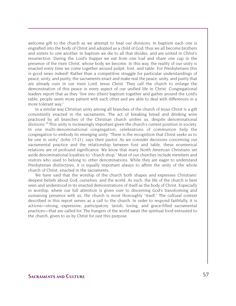welcome gift to the church as we attempt to heal our divisions. In baptism each one is engrafted into the body of Christ and adopted as a child of God; thus we all become brothers and sisters to one another. In baptism we die to all that divides, and are united in Christ's resurrection. During the Lord's Supper we eat from one loaf and share one cup in the presence of the risen Christ, whose body we become. In this way, the reality of our unity is enacted every time we come together around pulpit, font, and table. For Presbyterians this is good news indeed! Rather than a competitive struggle for particular understandings of peace, unity, and purity, the sacraments enact and make real the peace, unity, and purity that are already ours in our risen Lord, Jesus Christ. They call the church to enlarge the demonstration of this peace in every aspect of our unified life in Christ. Congregational leaders report that as they "live into (their) baptism together and gather around the Lord's table, people seem more patient with each other and are able to deal with differences in a more tolerant way."

In a similar way Christian unity among all branches of the church of Jesus Christ is a gift consistently enacted in the sacraments. The act of breaking bread and drinking wine practiced by all branches of the Christian church unifies us, despite denominational divisions.<sup>23</sup> This unity is increasingly important given the church's current position in society. In one multi-denominational congregation, celebrations of communion help the congregation to embody its emerging unity. "There is the recognition that Christ seeks us to be one in unity" (John 17:21), says their pastor. As we consider decisions concerning our sacramental practice and the relationship between font and table, these ecumenical relations are of profound significance. We know that many North American Christians set aside denominational loyalties to "church shop." Most of our churches include members and visitors who used to belong to other denominations. While they are eager to understand Presbyterian distinctives, it is equally important always to affirm the unity of the whole church of Christ, enacted in the sacraments.

We have said that the worship of the church both shapes and expresses Christians' deepest beliefs about God, ourselves, and the world. As such, the life of the church is best seen and understood in its enacted demonstrations of itself as the body of Christ. Especially in worship, where our full attention is given over to discerning God's transforming and sustaining presence with us, the church is most thoroughly "itself." The cultural context described in this report serves as a call to the church. In order to respond faithfully, it is actions—strong, expressive, participatory, lavish, loving, and grace-filled sacramental practices—that are called for. The hungers of the world await the spiritual food entrusted to the church, given to us by Christ for just this purpose.

### **SACRAMENTS AND CULTURE** 57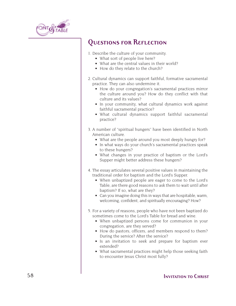

### **Questions for Reflection**

- 1. Describe the culture of your community.
	- What sort of people live here?
	- What are the central values in their world?
	- How do they relate to the church?
- 2. Cultural dynamics can support faithful, formative sacramental practice. They can also undermine it.
	- How do your congregation's sacramental practices mirror the culture around you? How do they conflict with that culture and its values?
	- In your community, what cultural dynamics work against faithful sacramental practice?
	- What cultural dynamics support faithful sacramental practice?
- 3. A number of "spiritual hungers" have been identified in North American culture.
	- What are the people around you most deeply hungry for?
	- In what ways do your church's sacramental practices speak to these hungers?
	- What changes in your practice of baptism or the Lord's Supper might better address these hungers?
- 4. The essay articulates several positive values in maintaining the traditional order for baptism and the Lord's Supper.
	- When unbaptized people are eager to come to the Lord's Table, are there good reasons to ask them to wait until after baptism? If so, what are they?
	- Can you imagine doing this in ways that are hospitable, warm, welcoming, confident, and spiritually encouraging? How?
- 5. For a variety of reasons, people who have not been baptized do sometimes come to the Lord's Table for bread and wine.
	- When unbaptized persons come for communion in your congregation, are they served?
	- How do pastors, officers, and members respond to them? During the service? After the service?
	- Is an invitation to seek and prepare for baptism ever extended?
	- What sacramental practices might help those seeking faith to encounter Jesus Christ most fully?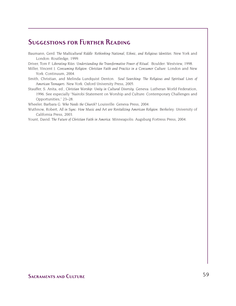### **Suggestions for Further Reading**

Baumann, Gerd. *The Multicultural Riddle: Rethinking National, Ethnic, and Religious Identities*. New York and London: Routledge, 1999.

Driver, Tom F. *Liberating Rites: Understanding the Transformative Power of Ritual*. Boulder: Westview, 1998.

- Miller, Vincent J. *Consuming Religion: Christian Faith and Practice in a Consumer Culture*. London and New York: Continuum, 2004.
- Smith, Christian, and Melinda Lundquist Denton. *Soul Searching: The Religious and Spiritual Lives of American Teenagers*. New York: Oxford University Press, 2005.
- Stauffer, S. Anita, ed., *Christian Worship: Unity in Cultural Diversity*. Geneva: Lutheran World Federation, 1996. See especially "Nairobi Statement on Worship and Culture: Contemporary Challenges and Opportunities," 23–28.

Wheeler, Barbara G. *Who Needs the Church?* Louisville: Geneva Press, 2004.

Wuthnow, Robert, *All in Sync: How Music and Art are Revitalizing American Religion*. Berkeley: University of California Press, 2003.

Yount, David. *The Future of Christian Faith in America*. Minneapolis: Augsburg Fortress Press, 2004.

### **SACRAMENTS AND CULTURE** 59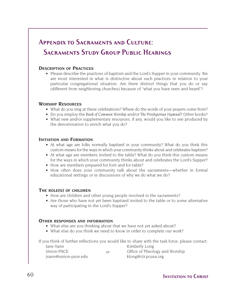### **APPENDIX TO SACRAMENTS AND CULTURE: Sacraments Study Group Public Hearings**

### **DESCRIPTION OF PRACTICES**

• Please describe the practices of baptism and the Lord's Supper in your community. We are most interested in what is distinctive about such practices in relation to your particular congregational situation. Are there distinct things that you do or say (different from neighboring churches) because of "what you have seen and heard"?

### **WORSHIP RESOURCES**

- What do you sing at these celebrations? Where do the words of your prayers come from?
- Do you employ the *Book of Common Worship* and/or *The Presbyterian Hymnal*? Other books?
- What new and/or supplementary resources, if any, would you like to see produced by the denomination to enrich what you do?

#### **INITIATION AND FORMATION**

- At what age are folks normally baptized in your community? What do you think this custom means for the ways in which your community thinks about and celebrates baptism?
- At what age are members invited to the table? What do you think this custom means for the ways in which your community thinks about and celebrates the Lord's Supper?
- How are members prepared for font and for table?
- How often does your community talk about the sacraments—whether in formal educational settings or in discussions of why we do what we do?

### **THE ROLE(S) OF CHILDREN**

- How are children and other young people involved in the sacraments?
- Are those who have not yet been baptized invited to the table or to some alternative way of participating in the Lord's Supper?

### **OTHER RESPONSES AND INFORMATION**

- What else are you thinking about that we have not yet asked about?
- What else do you think we need to know in order to complete our work?

If you think of further reflections you would like to share with the task force, please contact:

| Jane Vann            |    | Kimberly Long                  |
|----------------------|----|--------------------------------|
| Union-PSCE           | Ωr | Office of Theology and Worship |
| jvann@union-psce.edu |    | klong@ctr.pcusa.org            |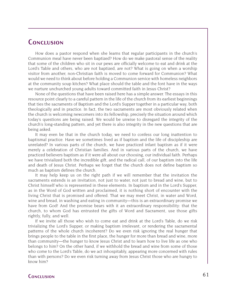### **Conclusion**

How does a pastor respond when she learns that regular participants in the church's Communion meal have never been baptized? How do we make pastoral sense of the reality that some of the children who sit in our pews are officially welcome to eat and drink at the Lord's Table and others, who are not baptized, are not? What is going on when a worship visitor from another, non-Christian faith is moved to come forward for Communion? What would we need to think about before holding a Communion service with homeless neighbors at the community soup kitchen? What place should the table and the font have in the ways we nurture unchurched young adults toward committed faith in Jesus Christ?

None of the questions that have been raised here has a simple answer. The essays in this resource point clearly to a careful pattern in the life of the church from its earliest beginnings that ties the sacraments of Baptism and the Lord's Supper together in a particular way, both theologically and in practice. In fact, the two sacraments are most obviously related when the church is welcoming newcomers into its fellowship, precisely the situation around which today's questions are being raised. We would be unwise to disregard the integrity of the church's long-standing pattern, and yet there is also integrity in the new questions that are being asked.

It may even be that in the church today, we need to confess our long inattention to baptismal practice. Have we sometimes lived as if baptism and the life of discipleship are unrelated? In various parts of the church, we have practiced infant baptism as if it were merely a celebration of Christian families. And in various parts of the church, we have practiced believers baptism as if it were all about our choosing, our individual faith. Perhaps we have trivialized both the incredible gift, and the radical call, of our baptism into the life and death of Jesus Christ. Perhaps we forget that the church does not define baptism so much as baptism defines the church.

It may help keep us on the right path if we will remember that the invitation the sacraments extends is an invitation, not just to water, not just to bread and wine, but to Christ himself who is represented in these elements. In baptism and in the Lord's Supper, as in the Word of God written and proclaimed, it is nothing short of encounter with the living Christ that is promised and offered. That we may meet Christ, in water and Word, wine and bread, in washing and eating in community—this is an extraordinary promise we have from God! And the promise bears with it an extraordinary responsibility: that the church, to whom God has entrusted the gifts of Word and Sacrament, use those gifts rightly, fully, and well.

If we invite all those who wish to come eat and drink at the Lord's Table, do we risk trivializing the Lord's Supper, or making baptism irrelevant, or rendering the sacramental patterns of the whole church incoherent? Do we even risk ignoring the real hunger that brings people to the table in the first place, the hunger for more than bread and wine, more than community—the hunger to know Jesus Christ and to learn how to live life as one who belongs to him? On the other hand, if we withhold the bread and wine from some of those who come to the Lord's Table, do we act inhospitably, appearing more concerned with rules than with persons? Do we even risk turning away from Jesus Christ those who are hungry to know him?

### **Conclusion** 61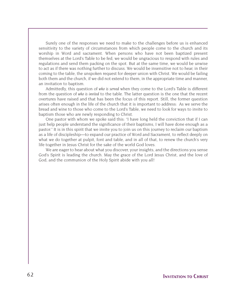Surely one of the responses we need to make to the challenges before us is enhanced sensitivity to the variety of circumstances from which people come to the church and its worship in Word and sacrament. When persons who have not been baptized present themselves at the Lord's Table to be fed, we would be ungracious to respond with rules and regulations and send them packing on the spot. But at the same time, we would be unwise to act as if there was nothing further to discuss. We would be insensitive not to hear, in their coming to the table, the unspoken request for deeper union with Christ. We would be failing both them and the church, if we did not extend to them, in the appropriate time and manner, an invitation to baptism.

Admittedly, this question of *who is served* when they come to the Lord's Table is different from the question of *who is invited* to the table. The latter question is the one that the recent overtures have raised and that has been the focus of this report. Still, the former question arises often enough in the life of the church that it is important to address: As we serve the bread and wine to those who come to the Lord's Table, we need to look for ways to invite to baptism those who are newly responding to Christ.

One pastor with whom we spoke said this: "I have long held the conviction that if I can just help people understand the significance of their baptisms, I will have done enough as a pastor." It is in this spirit that we invite you to join us on this journey to reclaim our baptism as a life of discipleship—to expand our practice of Word and Sacrament, to reflect deeply on what we do together at pulpit, font and table, and in all of that, to renew the church's very life together in Jesus Christ for the sake of the world God loves.

We are eager to hear about what you discover, your insights, and the directions you sense God's Spirit is leading the church. May the grace of the Lord Jesus Christ, and the love of God, and the communion of the Holy Spirit abide with you all!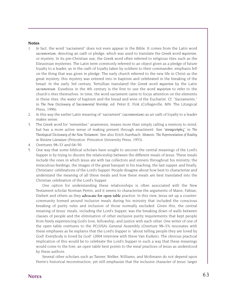#### **Notes**

- 1. In fact, the word "sacrament" does not even appear in the Bible. It comes from the Latin word *sacramentum*, denoting an oath or pledge, which was used to translate the Greek word *mysterion*, or mystery. In its pre-Christian use, the Greek word often referred to religious rites such as the Eleusinian mysteries. The Latin term commonly referred to an object given as a pledge of future loyalty to a leader, as in the oath of loyalty taken by soldiers to their commander; emphasis fell on the thing that was given in pledge. The early church referred to the new life in Christ as the great mystery; this mystery was entered into in baptism and celebrated in the breaking of the bread. In the early 3rd century, Tertullian translated the Greek word *mysterion* by the Latin *sacramentum*. Eusebius in the 4th century is the first to use the word *mysterion* to refer to the church's rites themselves. In time, the word sacrament came to focus attention on the elements in these rites: the water of baptism and the bread and wine of the Eucharist. Cf. "Sacraments," in *The New Dictionary of Sacramental Worship*, ed. Peter E. Fink (Collegeville, MN: The Liturgical Press, 1990).
- 2. In this way the earlier Latin meaning of "sacrament" (*sacramentum*) as an oath of loyalty to a leader makes sense.
- 3. The Greek word for "remember," anamnesis, means more than simply calling a memory to mind, but has a more active sense of making present through enactment. See "αναµνησις" in *The Theological Dictionary of the New Testament*. See also Erich Auerbach, *Mimesis: The Representation of Reality in Western Literature* (Princeton: Princeton University Press, 1953).
- 4. Overtures 98–33 and 04–50.
- 5. One way that some biblical scholars have sought to uncover the central meanings of the Lord's Supper is by trying to discern the relationship between the different meals of Jesus. These meals include the ones in which Jesus ate with tax collectors and sinners throughout his ministry, the miraculous feedings, the images of the great banquet in his teaching, the last supper, and finally, Christians' celebrations of the Lord's Supper. People disagree about how best to characterize and understand the meaning of all these meals and how these meals are best translated into the Christian celebration of the Lord's Supper.

One option for understanding these relationships is often associated with the New Testament scholar Norman Perrin, and it seems to characterize the arguments of Mann, Fabian, Diebert and others as they **advocate for open table** practice. In this view, Jesus set up a countercommunity formed around inclusive meals during his ministry that included the conscious breaking of purity rules and inclusion of those normally excluded. Given this, the central meaning of Jesus' meals, including the Lord's Supper, was the breaking down of walls between classes of people and the elimination of other exclusive purity requirements that kept people from freely experiencing God's love, fellowship, and justice with each other. One writer of one of the open table overtures to the PC(USA) General Assembly (Overture 98–33) resonates with these emphases as he explains that the Lord's Supper is "about telling people they are loved by God! Everybody is loved by God" (2004 interview with Steve Van Kuiken). The obvious practical implication of this would be to celebrate the Lord's Supper in such a way that these meanings would come to the fore; an open table best points to the meal practices of Jesus as understood by these authors.

Several other scholars such as Tanner, Welker, Williams, and Moltmann do not depend upon Perrin's historical reconstruction, yet still emphasize that the inclusive character of Jesus' larger

### **Notes** 63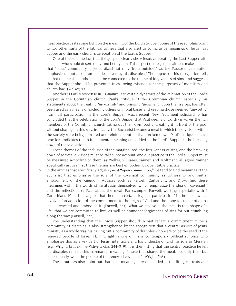meal practice casts some light on the meaning of the Lord's Supper. Some of these scholars point to two other parts of the biblical witness that also alert us to inclusive meanings of Jesus' last supper and the early church's celebration of the Lord's Supper.

One of these is the fact that the gospels clearly show Jesus celebrating the Last Supper with disciples who would desert, deny, and betray him. This aspect of the gospel witness makes it clear that "Jesus' community is jeopardized not only 'from outside'," as the Passover celebration emphasizes, "but also 'from inside'—even by his disciples." The impact of this recognition tells us that the meal as a whole must be connected to the theme of forgiveness of sins, and suggests that the Supper should be prevented from "being misused for the purposes of moralism and church law" (Welker, 53).

Another is Paul's response in *1 Corinthians* to certain dynamics of the celebration of the Lord's Supper in the Corinthian church. Paul's critique of the Corinthian church, especially his statements about their eating "unworthily" and bringing "judgment" upon themselves, has often been used as a means of excluding others on moral bases and keeping those deemed "unworthy" from full participation in the Lord's Supper. Much recent New Testament scholarship has concluded that the celebration of the Lord's Supper that Paul deems unworthy involves the rich members of the Corinthian church taking out their own food and eating it in front of the poor without sharing. In this way, ironically, the Eucharist became a meal in which the divisions within the society were being mirrored and reinforced rather than broken down. Paul's critique of such practices indicates that a fundamental meaning embedded in the Lord's Supper is the breaking down of these divisions.

These themes of the inclusion of the marginalized, the forgiveness of sins, and the breaking down of societal divisions must be taken into account, and our practice of the Lord's Supper must be measured according to them, as Welker, Williams, Tanner, and Moltmann all agree. Tanner specifically argues that these themes are best embodied by open table practice.

6. In the articles that specifically argue **against "open communion,"** we tend to find meanings of the eucharist that emphasize the role of the covenant community as witness to and partial embodiment of the Kingdom. Authors such as Farwell, Cartwright, and Dipko find these meanings within the words of institution themselves, which emphasize the idea of "covenant," and the reflections of Paul about the meal. For example, Farwell, working especially with 1 Corinthians 10 and 11, argues that there is a certain "logic of participation" in the meal, which involves "an adoption of the commitment to the reign of God and the hope for redemption as Jesus preached and embodied it" (Farwell, 223). What we receive in the meal is the "shape of a life" that we are committed to live, as well as abundant forgiveness of sins for our stumbling along the way (Farwell, 227).

The understanding that the Lord's Supper should in part reflect a commitment to be a community of disciples is also strengthened by the recognition that a central aspect of Jesus' ministry as a whole was his calling out a community of disciples who were to be the seed of the renewed people of Israel. N. T. Wright is one of many contemporary biblical scholars who emphasize this as a key part of Jesus' intentions and his understanding of his role as Messiah (e.g., Wright, *Jesus and the Victory of God*, 244–319). It is then fitting that the central practice he left his disciples reflects this covenantal meaning: "those that shared the meal, not only then but subsequently, were the people of the renewed covenant." (Wright, 563).

These authors also point out that such meanings are embedded in the liturgical texts and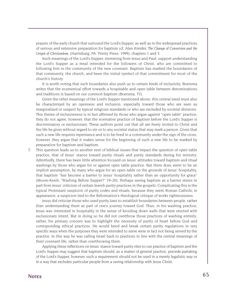prayers of the early church that surround the Lord's Supper, as well as in the widespread practices of serious and extensive preparation for baptism (cf. Alan Kreider, *The Change of Conversion and the Origin of Christendom*, (Harrisburg, PA: Trinity Press, 1999), chapters 1 and 3.

Such meanings of the Lord's Supper, stemming from Jesus and Paul, support understanding the Lord's Supper as a meal intended for the followers of Christ, who are committed to following him in the community of the new covenant. Baptism has marked the boundaries of that community, the church, and been the initial symbol of that commitment for most of the church's history.

It is worth noting that such boundaries also push us to certain kinds of inclusivity. Boersma writes that the ecumenical effort towards a hospitable and open table between denominations and traditions is based on our common baptism (Boersma, 73).

Given the other meanings of the Lord's Supper mentioned above, this central meal must also be characterized by an openness and inclusion, especially toward those who are seen as marginalized or suspect by typical religious standards or who are excluded by societal divisions. This theme of inclusiveness is in fact affirmed by those who argue against "open table" practice; they do not agree, however, that the normative practice of baptism before the Lord's Supper is discriminatory or exclusionary. These authors point out that all are freely invited to Christ and the life he gives without regard to sin or to any societal status that may mark a person. Given that such a new life requires repentance and is to be lived in a community under the sign of the cross, however, they argue that it makes sense for the beginning of such a new life to be marked by preparation for baptism and baptism.

7. This question leads us to another nest of biblical issues that impact the question of open table practice, that of Jesus' stance toward purity rituals and purity standards during his ministry. Admittedly, there has been little attention focused on Jesus' attitudes toward baptism and ritual washings by those who argue for or against open table practice. But there does seem to be an implicit assumption, by many who argue for an open table on the grounds of Jesus' hospitality, that baptism "has become a barrier to Jesus' hospitality rather than an opportunity for grace" (Moore-Keish, "Washing Before Supper?" 19–20). Perhaps seeing baptism as a barrier stems in part from Jesus' criticism of certain Jewish purity practices in the gospels. Complicating this is the typical Protestant suspicion of purity codes and rituals, because they seem Roman Catholic in appearance, a suspicion tied to the Reformation's theological critique of works righteousness.

Jesus did criticize those who used purity laws to establish boundaries between people, rather than understanding them as part of one's journey toward God. Thus, in his washing practice, Jesus was interested in hospitality in the sense of knocking down walls that were erected with exclusionary intent. But in doing so he did not overthrow those practices of washing entirely; rather, his primary concern was to highlight the necessity of purity of heart before God and corresponding ethical practices. He would bend and break certain purity regulations in very specific ways when the purposes they were intended to serve were in fact not being served by the practice. In this way he was calling Israel back to practices in line with the central meanings of their covenant life, rather than overthrowing them.

Applying these reflections on Jesus' stance toward purity rites to our practice of baptism and the Lord's Supper may suggest that baptism should, as a matter of general practice, precede partaking of the Lord's Supper; however, such a requirement should not be used in a merely legalistic way or in a way that excludes particular people from a saving relationship with Jesus Christ.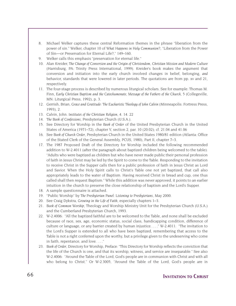- 8. Michael Welker captures these central Reformation themes in the phrase "liberation from the power of sin." Welker, chapter 10 of *What Happens in Holy Communion?*, "Liberation from the Power of Sin—or Preservation for Eternal Life?," 149–160.
- 9. Welker calls this emphasis "preservation for eternal life."
- 10. Alan Kreider, *The Change of Conversion and the Origin of Christendom, Christian Mission and Modern Culture* (Harrisburg, PA: Trinity Press International, 1999). Kreider's book makes the argument that conversion and initiation into the early church involved changes in belief, belonging, *and* behavior, standards that were lowered in later periods. The quotations are from pp. xv and 21, respectively.
- 11. The four-stage process is described by numerous liturgical scholars. See for example: Thomas M. Finn, *Early Christian Baptism and the Catechumenate, Message of the Fathers of the Church*, 5 (Collegeville, MN: Liturgical Press, 1992), p. 3.
- 12. Gerrish, Brian, *Grace and Gratitude: The Eucharistic Theology of John Calvin* (Minneapolis: Fortress Press, 1993), 2.
- 13. Calvin, John. *Institutes of the Christian Religion*, 4. 14. 22
- 14. *The Book of Confessions*, Presbyterian Church (U.S.A.).
- 15. See Directory for Worship in the *Book of Order* of the United Presbyterian Church in the United States of America (1971–72), chapter V, section 2, par. 10 (20.02); cf. 21.04 and 41.06
- 16. See *Book of Church Order*, Presbyterian Church in the United States 1980/81 edition (Atlanta: Office of the Stated Clerk of the General Assembly, PCUS, 1980), Part II, chapter 7–3.
- 17. The 1987 Proposed Draft of the Directory for Worship included the following recommended addition to W-2.4011 (after the paragraph about baptized children being welcomed to the table): "Adults who were baptized as children but who have never made public their personal profession of faith in Jesus Christ may be led by the Spirit to come to the Table. Responding to the invitation to receive Christ in the Supper calls then for a public profession of faith in Jesus Christ as Lord and Savior. When the Holy Spirit calls to Christ's Table one not yet baptized, that call also appropriately leads to the water of Baptism. Having received Christ in bread and cup, one thus called shall then request Baptism." While this addition was never approved, it points to an earlier intuition in the church to preserve the close relationship of baptism and the Lord's Supper.
- 18. A sample questionnaire is attached.
- 19. "Public Worship" by *The Presbyterian Panel: Listening to Presbyterians*, May 2000.
- 20. See Craig Dykstra, *Growing in the Life of Faith*, especially chapters 1–3.
- 21. *Book of Common Worship*, Theology and Worship Ministry Unit for the Presbyterian Church (U.S.A.) and the Cumberland Presbyterian Church, 1993.
- 22. W-2.4006: "All the baptized faithful are to be welcomed to the Table, and none shall be excluded because of race, sex, age, economic status, social class, handicapping condition, difference of culture or language, or any barrier created by human injustice. . . ." W-2.4011: "The invitation to the Lord's Supper is extended to all who have been baptized, remembering that access to the Table is not a right conferred upon the worthy, but a privilege given to the undeserving who come in faith, repentance, and love. . . ."
- 23. *Book of Order*, Directory for Worship, Preface: "This Directory for Worship reflects the conviction that the life of the Church is one, and that its worship, witness, and service are inseparable." See also W-2.4006: "Around the Table of the Lord, God's people are in communion with Christ and with all who belong to Christ." Or W-2.3005, "Around the Table of the Lord, God's people are in